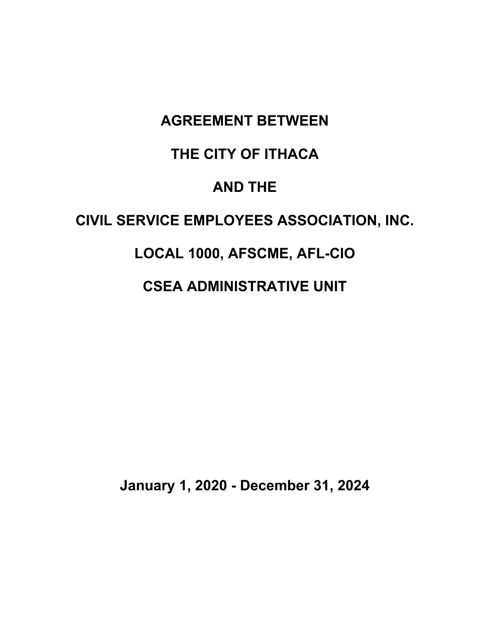# **AGREEMENT BETWEEN**

# **THE CITY OF ITHACA**

# **AND THE**

# **CIVIL SERVICE EMPLOYEES ASSOCIATION, INC.**

# **LOCAL 1000, AFSCME, AFL-CIO**

# **CSEA ADMINISTRATIVE UNIT**

**January 1, 2020 - December 31, 2024**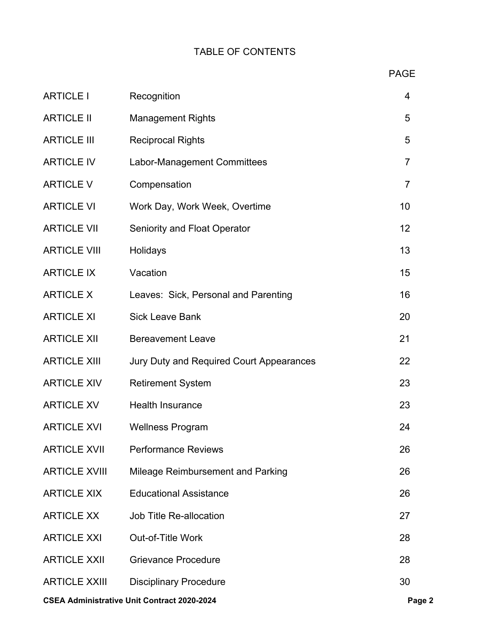# TABLE OF CONTENTS

| <b>ARTICLE I</b>     | Recognition                              | $\overline{4}$ |
|----------------------|------------------------------------------|----------------|
| <b>ARTICLE II</b>    | <b>Management Rights</b>                 | 5              |
| <b>ARTICLE III</b>   | <b>Reciprocal Rights</b>                 | 5              |
| <b>ARTICLE IV</b>    | Labor-Management Committees              | $\overline{7}$ |
| <b>ARTICLE V</b>     | Compensation                             | $\overline{7}$ |
| <b>ARTICLE VI</b>    | Work Day, Work Week, Overtime            | 10             |
| <b>ARTICLE VII</b>   | <b>Seniority and Float Operator</b>      | 12             |
| <b>ARTICLE VIII</b>  | Holidays                                 | 13             |
| <b>ARTICLE IX</b>    | Vacation                                 | 15             |
| <b>ARTICLE X</b>     | Leaves: Sick, Personal and Parenting     | 16             |
| <b>ARTICLE XI</b>    | <b>Sick Leave Bank</b>                   | 20             |
| <b>ARTICLE XII</b>   | <b>Bereavement Leave</b>                 | 21             |
| <b>ARTICLE XIII</b>  | Jury Duty and Required Court Appearances | 22             |
| <b>ARTICLE XIV</b>   | <b>Retirement System</b>                 | 23             |
| <b>ARTICLE XV</b>    | <b>Health Insurance</b>                  | 23             |
| <b>ARTICLE XVI</b>   | <b>Wellness Program</b>                  | 24             |
| <b>ARTICLE XVII</b>  | <b>Performance Reviews</b>               | 26             |
| <b>ARTICLE XVIII</b> | Mileage Reimbursement and Parking        | 26             |
| <b>ARTICLE XIX</b>   | <b>Educational Assistance</b>            | 26             |
| <b>ARTICLE XX</b>    | Job Title Re-allocation                  | 27             |
| <b>ARTICLE XXI</b>   | Out-of-Title Work                        | 28             |
| <b>ARTICLE XXII</b>  | <b>Grievance Procedure</b>               | 28             |
| <b>ARTICLE XXIII</b> | <b>Disciplinary Procedure</b>            | 30             |
|                      |                                          |                |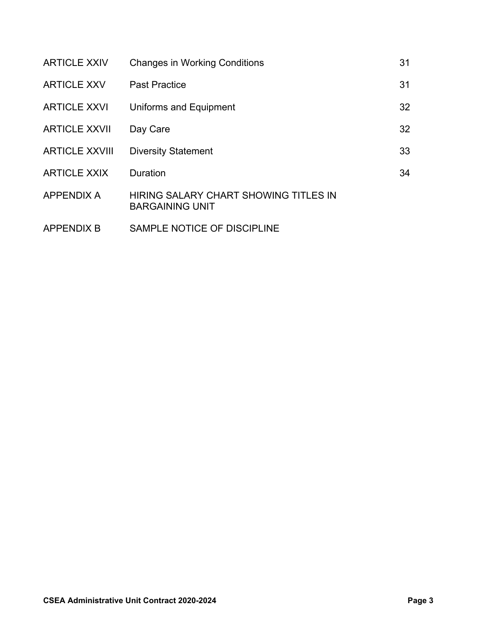| <b>ARTICLE XXIV</b>   | <b>Changes in Working Conditions</b>                            | 31 |
|-----------------------|-----------------------------------------------------------------|----|
| <b>ARTICLE XXV</b>    | <b>Past Practice</b>                                            | 31 |
| <b>ARTICLE XXVI</b>   | <b>Uniforms and Equipment</b>                                   | 32 |
| <b>ARTICLE XXVII</b>  | Day Care                                                        | 32 |
| <b>ARTICLE XXVIII</b> | <b>Diversity Statement</b>                                      | 33 |
| <b>ARTICLE XXIX</b>   | <b>Duration</b>                                                 | 34 |
| <b>APPENDIX A</b>     | HIRING SALARY CHART SHOWING TITLES IN<br><b>BARGAINING UNIT</b> |    |
| <b>APPENDIX B</b>     | SAMPLE NOTICE OF DISCIPLINE                                     |    |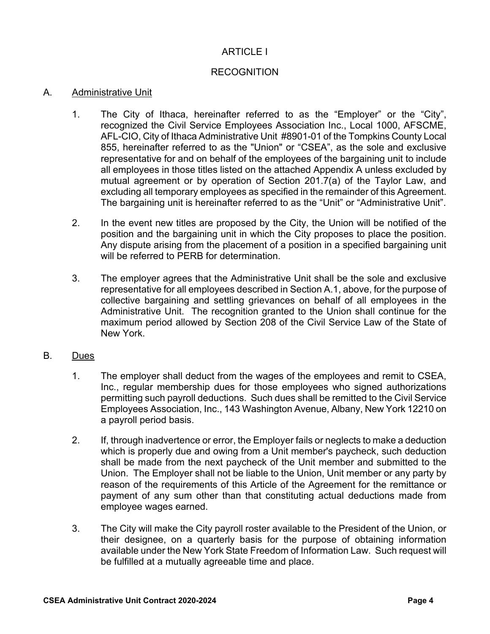# ARTICLE I

# **RECOGNITION**

#### A. Administrative Unit

- 1. The City of Ithaca, hereinafter referred to as the "Employer" or the "City", recognized the Civil Service Employees Association Inc., Local 1000, AFSCME, AFL-CIO, City of Ithaca Administrative Unit #8901-01 of the Tompkins County Local 855, hereinafter referred to as the "Union" or "CSEA", as the sole and exclusive representative for and on behalf of the employees of the bargaining unit to include all employees in those titles listed on the attached Appendix A unless excluded by mutual agreement or by operation of Section 201.7(a) of the Taylor Law, and excluding all temporary employees as specified in the remainder of this Agreement. The bargaining unit is hereinafter referred to as the "Unit" or "Administrative Unit".
- 2. In the event new titles are proposed by the City, the Union will be notified of the position and the bargaining unit in which the City proposes to place the position. Any dispute arising from the placement of a position in a specified bargaining unit will be referred to PERB for determination.
- 3. The employer agrees that the Administrative Unit shall be the sole and exclusive representative for all employees described in Section A.1, above, for the purpose of collective bargaining and settling grievances on behalf of all employees in the Administrative Unit. The recognition granted to the Union shall continue for the maximum period allowed by Section 208 of the Civil Service Law of the State of New York.

#### B. Dues

- 1. The employer shall deduct from the wages of the employees and remit to CSEA, Inc., regular membership dues for those employees who signed authorizations permitting such payroll deductions. Such dues shall be remitted to the Civil Service Employees Association, Inc., 143 Washington Avenue, Albany, New York 12210 on a payroll period basis.
- 2. If, through inadvertence or error, the Employer fails or neglects to make a deduction which is properly due and owing from a Unit member's paycheck, such deduction shall be made from the next paycheck of the Unit member and submitted to the Union. The Employer shall not be liable to the Union, Unit member or any party by reason of the requirements of this Article of the Agreement for the remittance or payment of any sum other than that constituting actual deductions made from employee wages earned.
- 3. The City will make the City payroll roster available to the President of the Union, or their designee, on a quarterly basis for the purpose of obtaining information available under the New York State Freedom of Information Law. Such request will be fulfilled at a mutually agreeable time and place.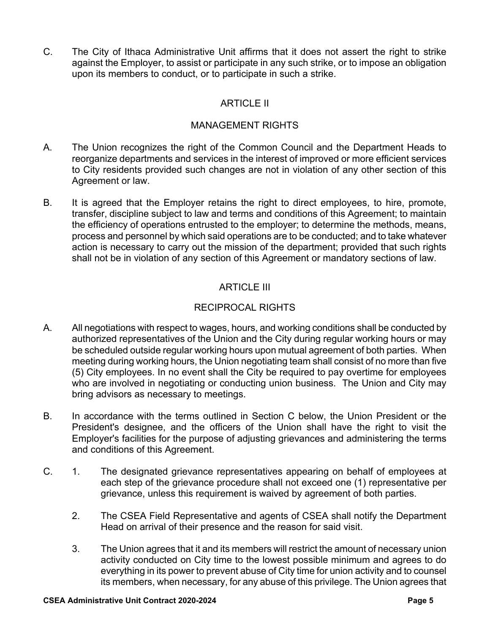C. The City of Ithaca Administrative Unit affirms that it does not assert the right to strike against the Employer, to assist or participate in any such strike, or to impose an obligation upon its members to conduct, or to participate in such a strike.

# ARTICLE II

# MANAGEMENT RIGHTS

- A. The Union recognizes the right of the Common Council and the Department Heads to reorganize departments and services in the interest of improved or more efficient services to City residents provided such changes are not in violation of any other section of this Agreement or law.
- B. It is agreed that the Employer retains the right to direct employees, to hire, promote, transfer, discipline subject to law and terms and conditions of this Agreement; to maintain the efficiency of operations entrusted to the employer; to determine the methods, means, process and personnel by which said operations are to be conducted; and to take whatever action is necessary to carry out the mission of the department; provided that such rights shall not be in violation of any section of this Agreement or mandatory sections of law.

# ARTICLE III

# RECIPROCAL RIGHTS

- A. All negotiations with respect to wages, hours, and working conditions shall be conducted by authorized representatives of the Union and the City during regular working hours or may be scheduled outside regular working hours upon mutual agreement of both parties. When meeting during working hours, the Union negotiating team shall consist of no more than five (5) City employees. In no event shall the City be required to pay overtime for employees who are involved in negotiating or conducting union business. The Union and City may bring advisors as necessary to meetings.
- B. In accordance with the terms outlined in Section C below, the Union President or the President's designee, and the officers of the Union shall have the right to visit the Employer's facilities for the purpose of adjusting grievances and administering the terms and conditions of this Agreement.
- C. 1. The designated grievance representatives appearing on behalf of employees at each step of the grievance procedure shall not exceed one (1) representative per grievance, unless this requirement is waived by agreement of both parties.
	- 2. The CSEA Field Representative and agents of CSEA shall notify the Department Head on arrival of their presence and the reason for said visit.
	- 3. The Union agrees that it and its members will restrict the amount of necessary union activity conducted on City time to the lowest possible minimum and agrees to do everything in its power to prevent abuse of City time for union activity and to counsel its members, when necessary, for any abuse of this privilege. The Union agrees that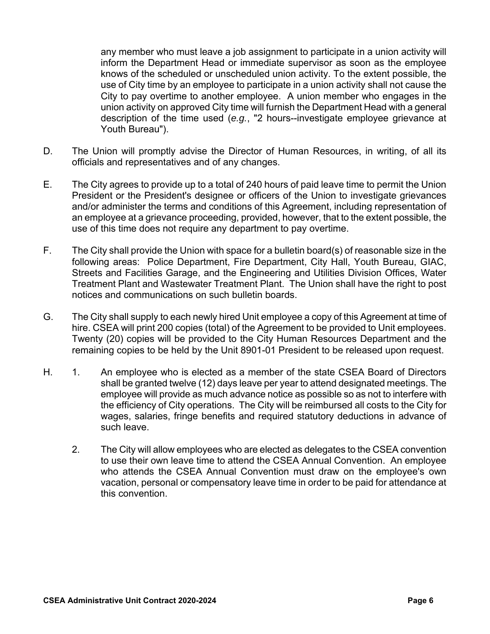any member who must leave a job assignment to participate in a union activity will inform the Department Head or immediate supervisor as soon as the employee knows of the scheduled or unscheduled union activity. To the extent possible, the use of City time by an employee to participate in a union activity shall not cause the City to pay overtime to another employee. A union member who engages in the union activity on approved City time will furnish the Department Head with a general description of the time used (*e.g.*, "2 hours--investigate employee grievance at Youth Bureau").

- D. The Union will promptly advise the Director of Human Resources, in writing, of all its officials and representatives and of any changes.
- E. The City agrees to provide up to a total of 240 hours of paid leave time to permit the Union President or the President's designee or officers of the Union to investigate grievances and/or administer the terms and conditions of this Agreement, including representation of an employee at a grievance proceeding, provided, however, that to the extent possible, the use of this time does not require any department to pay overtime.
- F. The City shall provide the Union with space for a bulletin board(s) of reasonable size in the following areas: Police Department, Fire Department, City Hall, Youth Bureau, GIAC, Streets and Facilities Garage, and the Engineering and Utilities Division Offices, Water Treatment Plant and Wastewater Treatment Plant. The Union shall have the right to post notices and communications on such bulletin boards.
- G. The City shall supply to each newly hired Unit employee a copy of this Agreement at time of hire. CSEA will print 200 copies (total) of the Agreement to be provided to Unit employees. Twenty (20) copies will be provided to the City Human Resources Department and the remaining copies to be held by the Unit 8901-01 President to be released upon request.
- H. 1. An employee who is elected as a member of the state CSEA Board of Directors shall be granted twelve (12) days leave per year to attend designated meetings. The employee will provide as much advance notice as possible so as not to interfere with the efficiency of City operations. The City will be reimbursed all costs to the City for wages, salaries, fringe benefits and required statutory deductions in advance of such leave.
	- 2. The City will allow employees who are elected as delegates to the CSEA convention to use their own leave time to attend the CSEA Annual Convention. An employee who attends the CSEA Annual Convention must draw on the employee's own vacation, personal or compensatory leave time in order to be paid for attendance at this convention.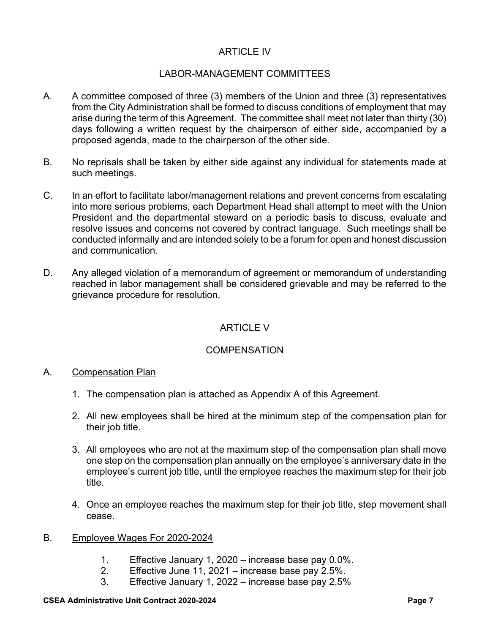# ARTICLE IV

# LABOR-MANAGEMENT COMMITTEES

- A. A committee composed of three (3) members of the Union and three (3) representatives from the City Administration shall be formed to discuss conditions of employment that may arise during the term of this Agreement. The committee shall meet not later than thirty (30) days following a written request by the chairperson of either side, accompanied by a proposed agenda, made to the chairperson of the other side.
- B. No reprisals shall be taken by either side against any individual for statements made at such meetings.
- C. In an effort to facilitate labor/management relations and prevent concerns from escalating into more serious problems, each Department Head shall attempt to meet with the Union President and the departmental steward on a periodic basis to discuss, evaluate and resolve issues and concerns not covered by contract language. Such meetings shall be conducted informally and are intended solely to be a forum for open and honest discussion and communication.
- D. Any alleged violation of a memorandum of agreement or memorandum of understanding reached in labor management shall be considered grievable and may be referred to the grievance procedure for resolution.

# ARTICLE V

# **COMPENSATION**

# A. Compensation Plan

- 1. The compensation plan is attached as Appendix A of this Agreement.
- 2. All new employees shall be hired at the minimum step of the compensation plan for their job title.
- 3. All employees who are not at the maximum step of the compensation plan shall move one step on the compensation plan annually on the employee's anniversary date in the employee's current job title, until the employee reaches the maximum step for their job title.
- 4. Once an employee reaches the maximum step for their job title, step movement shall cease.

#### B. Employee Wages For 2020-2024

- 1. Effective January 1, 2020 increase base pay 0.0%.
- 2. Effective June 11, 2021 increase base pay 2.5%.
- 3. Effective January 1, 2022 increase base pay 2.5%

#### **CSEA Administrative Unit Contract 2020-2024 Page 7 Page 7 Page 7**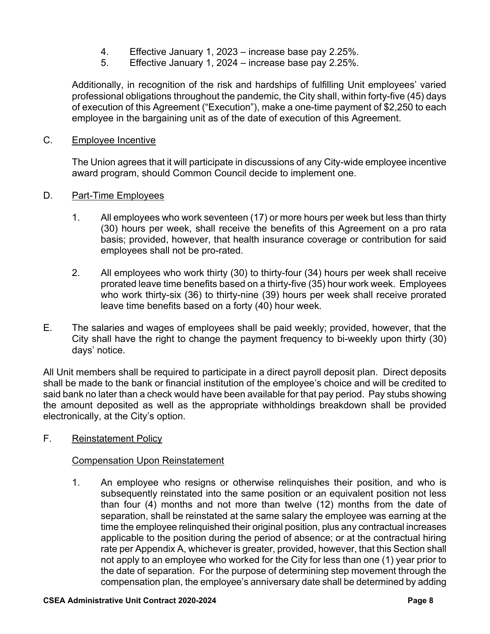- 4. Effective January 1, 2023 increase base pay 2.25%.
- 5. Effective January 1, 2024 increase base pay 2.25%.

Additionally, in recognition of the risk and hardships of fulfilling Unit employees' varied professional obligations throughout the pandemic, the City shall, within forty-five (45) days of execution of this Agreement ("Execution"), make a one-time payment of \$2,250 to each employee in the bargaining unit as of the date of execution of this Agreement.

#### C. Employee Incentive

The Union agrees that it will participate in discussions of any City-wide employee incentive award program, should Common Council decide to implement one.

#### D. Part-Time Employees

- 1. All employees who work seventeen (17) or more hours per week but less than thirty (30) hours per week, shall receive the benefits of this Agreement on a pro rata basis; provided, however, that health insurance coverage or contribution for said employees shall not be pro-rated.
- 2. All employees who work thirty (30) to thirty-four (34) hours per week shall receive prorated leave time benefits based on a thirty-five (35) hour work week. Employees who work thirty-six (36) to thirty-nine (39) hours per week shall receive prorated leave time benefits based on a forty (40) hour week.
- E. The salaries and wages of employees shall be paid weekly; provided, however, that the City shall have the right to change the payment frequency to bi-weekly upon thirty (30) days' notice.

All Unit members shall be required to participate in a direct payroll deposit plan. Direct deposits shall be made to the bank or financial institution of the employee's choice and will be credited to said bank no later than a check would have been available for that pay period. Pay stubs showing the amount deposited as well as the appropriate withholdings breakdown shall be provided electronically, at the City's option.

F. Reinstatement Policy

#### Compensation Upon Reinstatement

1. An employee who resigns or otherwise relinquishes their position, and who is subsequently reinstated into the same position or an equivalent position not less than four (4) months and not more than twelve (12) months from the date of separation, shall be reinstated at the same salary the employee was earning at the time the employee relinquished their original position, plus any contractual increases applicable to the position during the period of absence; or at the contractual hiring rate per Appendix A, whichever is greater, provided, however, that this Section shall not apply to an employee who worked for the City for less than one (1) year prior to the date of separation. For the purpose of determining step movement through the compensation plan, the employee's anniversary date shall be determined by adding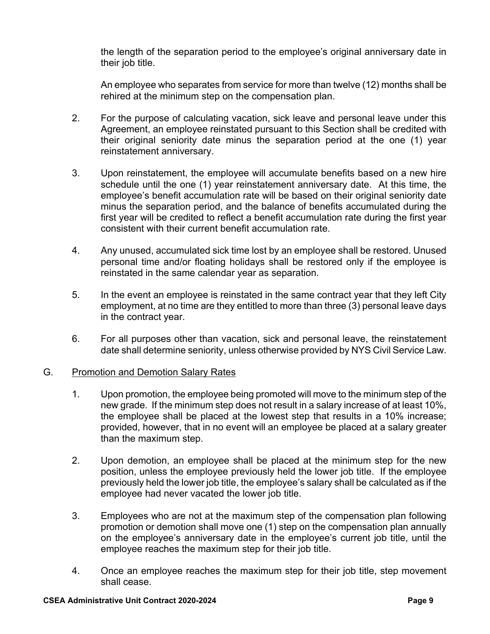the length of the separation period to the employee's original anniversary date in their job title.

 An employee who separates from service for more than twelve (12) months shall be rehired at the minimum step on the compensation plan.

- 2. For the purpose of calculating vacation, sick leave and personal leave under this Agreement, an employee reinstated pursuant to this Section shall be credited with their original seniority date minus the separation period at the one (1) year reinstatement anniversary.
- 3. Upon reinstatement, the employee will accumulate benefits based on a new hire schedule until the one (1) year reinstatement anniversary date. At this time, the employee's benefit accumulation rate will be based on their original seniority date minus the separation period, and the balance of benefits accumulated during the first year will be credited to reflect a benefit accumulation rate during the first year consistent with their current benefit accumulation rate.
- 4. Any unused, accumulated sick time lost by an employee shall be restored. Unused personal time and/or floating holidays shall be restored only if the employee is reinstated in the same calendar year as separation.
- 5. In the event an employee is reinstated in the same contract year that they left City employment, at no time are they entitled to more than three (3) personal leave days in the contract year.
- 6. For all purposes other than vacation, sick and personal leave, the reinstatement date shall determine seniority, unless otherwise provided by NYS Civil Service Law.

# G. Promotion and Demotion Salary Rates

- 1. Upon promotion, the employee being promoted will move to the minimum step of the new grade. If the minimum step does not result in a salary increase of at least 10%, the employee shall be placed at the lowest step that results in a 10% increase; provided, however, that in no event will an employee be placed at a salary greater than the maximum step.
- 2. Upon demotion, an employee shall be placed at the minimum step for the new position, unless the employee previously held the lower job title. If the employee previously held the lower job title, the employee's salary shall be calculated as if the employee had never vacated the lower job title.
- 3. Employees who are not at the maximum step of the compensation plan following promotion or demotion shall move one (1) step on the compensation plan annually on the employee's anniversary date in the employee's current job title, until the employee reaches the maximum step for their job title.
- 4. Once an employee reaches the maximum step for their job title, step movement shall cease.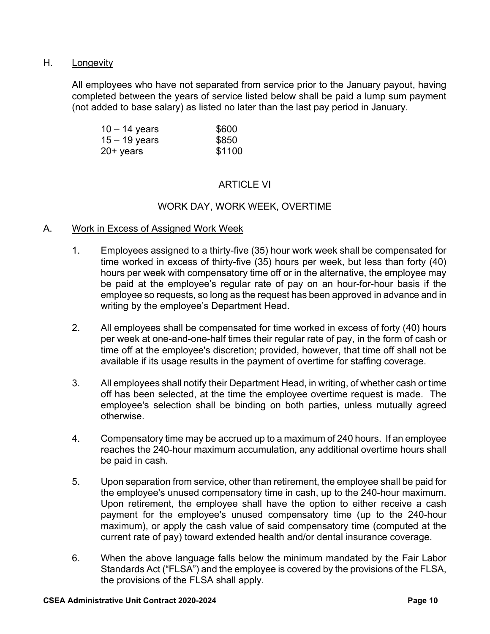# H. Longevity

All employees who have not separated from service prior to the January payout, having completed between the years of service listed below shall be paid a lump sum payment (not added to base salary) as listed no later than the last pay period in January.

| $10 - 14$ years | \$600  |
|-----------------|--------|
| $15 - 19$ years | \$850  |
| $20+$ years     | \$1100 |

# ARTICLE VI

# WORK DAY, WORK WEEK, OVERTIME

#### A. Work in Excess of Assigned Work Week

- 1. Employees assigned to a thirty-five (35) hour work week shall be compensated for time worked in excess of thirty-five (35) hours per week, but less than forty (40) hours per week with compensatory time off or in the alternative, the employee may be paid at the employee's regular rate of pay on an hour-for-hour basis if the employee so requests, so long as the request has been approved in advance and in writing by the employee's Department Head.
- 2. All employees shall be compensated for time worked in excess of forty (40) hours per week at one-and-one-half times their regular rate of pay, in the form of cash or time off at the employee's discretion; provided, however, that time off shall not be available if its usage results in the payment of overtime for staffing coverage.
- 3. All employees shall notify their Department Head, in writing, of whether cash or time off has been selected, at the time the employee overtime request is made. The employee's selection shall be binding on both parties, unless mutually agreed otherwise.
- 4. Compensatory time may be accrued up to a maximum of 240 hours. If an employee reaches the 240-hour maximum accumulation, any additional overtime hours shall be paid in cash.
- 5. Upon separation from service, other than retirement, the employee shall be paid for the employee's unused compensatory time in cash, up to the 240-hour maximum. Upon retirement, the employee shall have the option to either receive a cash payment for the employee's unused compensatory time (up to the 240-hour maximum), or apply the cash value of said compensatory time (computed at the current rate of pay) toward extended health and/or dental insurance coverage.
- 6. When the above language falls below the minimum mandated by the Fair Labor Standards Act ("FLSA") and the employee is covered by the provisions of the FLSA, the provisions of the FLSA shall apply.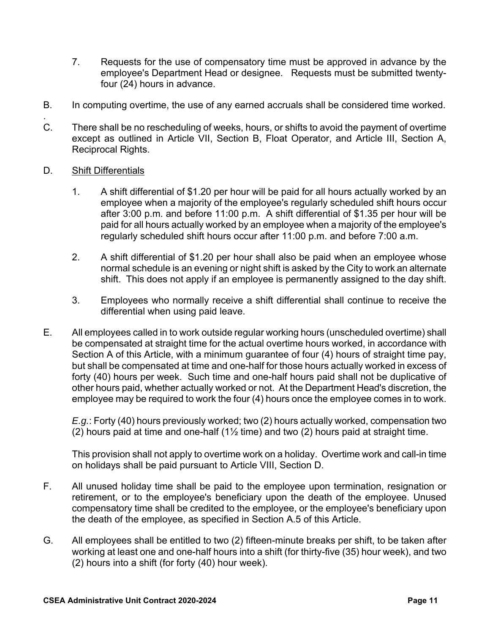- 7. Requests for the use of compensatory time must be approved in advance by the employee's Department Head or designee. Requests must be submitted twentyfour (24) hours in advance.
- B. In computing overtime, the use of any earned accruals shall be considered time worked.
- . C. There shall be no rescheduling of weeks, hours, or shifts to avoid the payment of overtime except as outlined in Article VII, Section B, Float Operator, and Article III, Section A, Reciprocal Rights.

# D. Shift Differentials

- 1. A shift differential of \$1.20 per hour will be paid for all hours actually worked by an employee when a majority of the employee's regularly scheduled shift hours occur after 3:00 p.m. and before 11:00 p.m. A shift differential of \$1.35 per hour will be paid for all hours actually worked by an employee when a majority of the employee's regularly scheduled shift hours occur after 11:00 p.m. and before 7:00 a.m.
- 2. A shift differential of \$1.20 per hour shall also be paid when an employee whose normal schedule is an evening or night shift is asked by the City to work an alternate shift. This does not apply if an employee is permanently assigned to the day shift.
- 3. Employees who normally receive a shift differential shall continue to receive the differential when using paid leave.
- E. All employees called in to work outside regular working hours (unscheduled overtime) shall be compensated at straight time for the actual overtime hours worked, in accordance with Section A of this Article, with a minimum guarantee of four (4) hours of straight time pay, but shall be compensated at time and one-half for those hours actually worked in excess of forty (40) hours per week. Such time and one-half hours paid shall not be duplicative of other hours paid, whether actually worked or not. At the Department Head's discretion, the employee may be required to work the four (4) hours once the employee comes in to work.

*E.g.*: Forty (40) hours previously worked; two (2) hours actually worked, compensation two (2) hours paid at time and one-half  $(1\frac{1}{2})$  time) and two (2) hours paid at straight time.

This provision shall not apply to overtime work on a holiday. Overtime work and call-in time on holidays shall be paid pursuant to Article VIII, Section D.

- F. All unused holiday time shall be paid to the employee upon termination, resignation or retirement, or to the employee's beneficiary upon the death of the employee. Unused compensatory time shall be credited to the employee, or the employee's beneficiary upon the death of the employee, as specified in Section A.5 of this Article.
- G. All employees shall be entitled to two (2) fifteen-minute breaks per shift, to be taken after working at least one and one-half hours into a shift (for thirty-five (35) hour week), and two (2) hours into a shift (for forty (40) hour week).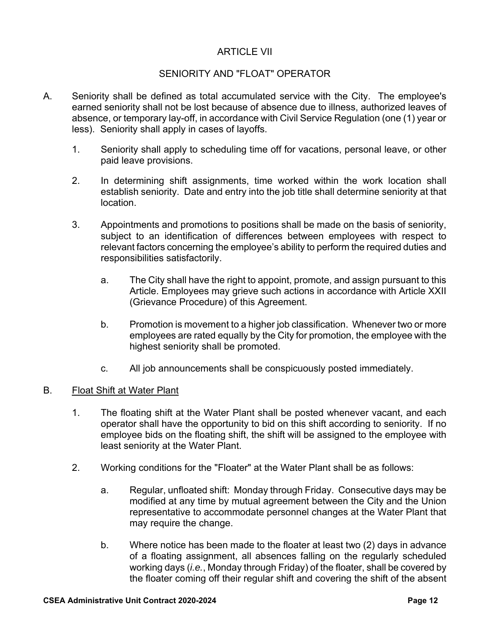# ARTICLE VII

# SENIORITY AND "FLOAT" OPERATOR

- A. Seniority shall be defined as total accumulated service with the City. The employee's earned seniority shall not be lost because of absence due to illness, authorized leaves of absence, or temporary lay-off, in accordance with Civil Service Regulation (one (1) year or less). Seniority shall apply in cases of layoffs.
	- 1. Seniority shall apply to scheduling time off for vacations, personal leave, or other paid leave provisions.
	- 2. In determining shift assignments, time worked within the work location shall establish seniority. Date and entry into the job title shall determine seniority at that location.
	- 3. Appointments and promotions to positions shall be made on the basis of seniority, subject to an identification of differences between employees with respect to relevant factors concerning the employee's ability to perform the required duties and responsibilities satisfactorily.
		- a. The City shall have the right to appoint, promote, and assign pursuant to this Article. Employees may grieve such actions in accordance with Article XXII (Grievance Procedure) of this Agreement.
		- b. Promotion is movement to a higher job classification. Whenever two or more employees are rated equally by the City for promotion, the employee with the highest seniority shall be promoted.
		- c. All job announcements shall be conspicuously posted immediately.

#### B. Float Shift at Water Plant

- 1. The floating shift at the Water Plant shall be posted whenever vacant, and each operator shall have the opportunity to bid on this shift according to seniority. If no employee bids on the floating shift, the shift will be assigned to the employee with least seniority at the Water Plant.
- 2. Working conditions for the "Floater" at the Water Plant shall be as follows:
	- a. Regular, unfloated shift: Monday through Friday. Consecutive days may be modified at any time by mutual agreement between the City and the Union representative to accommodate personnel changes at the Water Plant that may require the change.
	- b. Where notice has been made to the floater at least two (2) days in advance of a floating assignment, all absences falling on the regularly scheduled working days (*i.e.*, Monday through Friday) of the floater, shall be covered by the floater coming off their regular shift and covering the shift of the absent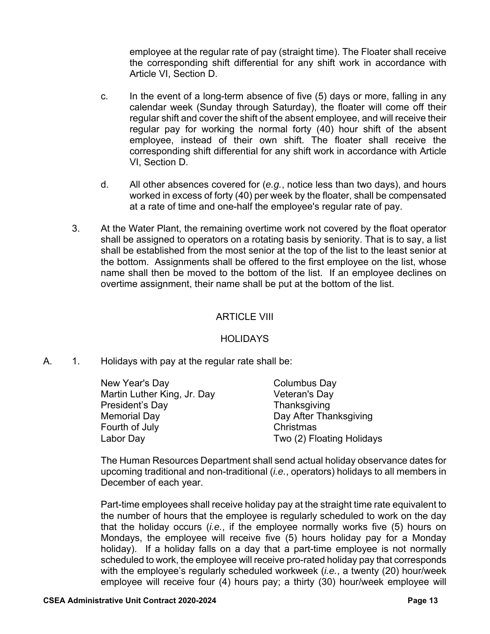employee at the regular rate of pay (straight time). The Floater shall receive the corresponding shift differential for any shift work in accordance with Article VI, Section D.

- c. In the event of a long-term absence of five (5) days or more, falling in any calendar week (Sunday through Saturday), the floater will come off their regular shift and cover the shift of the absent employee, and will receive their regular pay for working the normal forty (40) hour shift of the absent employee, instead of their own shift. The floater shall receive the corresponding shift differential for any shift work in accordance with Article VI, Section D.
- d. All other absences covered for (*e.g.*, notice less than two days), and hours worked in excess of forty (40) per week by the floater, shall be compensated at a rate of time and one-half the employee's regular rate of pay.
- 3. At the Water Plant, the remaining overtime work not covered by the float operator shall be assigned to operators on a rotating basis by seniority. That is to say, a list shall be established from the most senior at the top of the list to the least senior at the bottom. Assignments shall be offered to the first employee on the list, whose name shall then be moved to the bottom of the list. If an employee declines on overtime assignment, their name shall be put at the bottom of the list.

# ARTICLE VIII

# **HOLIDAYS**

A. 1. Holidays with pay at the regular rate shall be:

| New Year's Day              | Columbus Day              |
|-----------------------------|---------------------------|
| Martin Luther King, Jr. Day | Veteran's Day             |
| President's Day             | Thanksgiving              |
| Memorial Day                | Day After Thanksgiving    |
| Fourth of July              | Christmas                 |
| Labor Day                   | Two (2) Floating Holidays |

The Human Resources Department shall send actual holiday observance dates for upcoming traditional and non-traditional (*i.e.*, operators) holidays to all members in December of each year.

Part-time employees shall receive holiday pay at the straight time rate equivalent to the number of hours that the employee is regularly scheduled to work on the day that the holiday occurs (*i.e.*, if the employee normally works five (5) hours on Mondays, the employee will receive five (5) hours holiday pay for a Monday holiday). If a holiday falls on a day that a part-time employee is not normally scheduled to work, the employee will receive pro-rated holiday pay that corresponds with the employee's regularly scheduled workweek (*i.e.*, a twenty (20) hour/week employee will receive four (4) hours pay; a thirty (30) hour/week employee will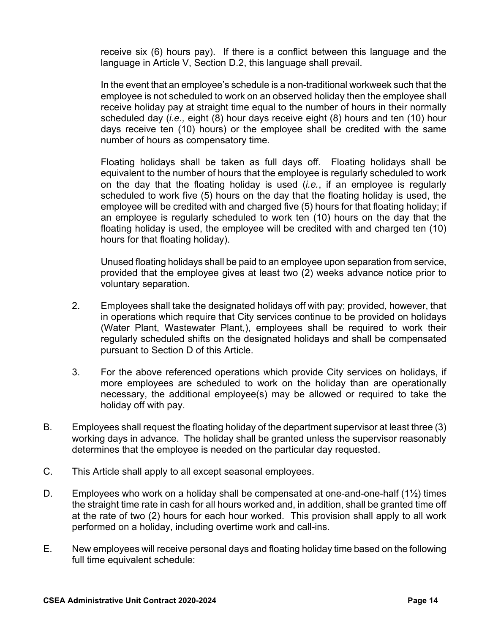receive six (6) hours pay). If there is a conflict between this language and the language in Article V, Section D.2, this language shall prevail.

In the event that an employee's schedule is a non-traditional workweek such that the employee is not scheduled to work on an observed holiday then the employee shall receive holiday pay at straight time equal to the number of hours in their normally scheduled day (*i.e.,* eight (8) hour days receive eight (8) hours and ten (10) hour days receive ten (10) hours) or the employee shall be credited with the same number of hours as compensatory time.

Floating holidays shall be taken as full days off. Floating holidays shall be equivalent to the number of hours that the employee is regularly scheduled to work on the day that the floating holiday is used (*i.e.*, if an employee is regularly scheduled to work five (5) hours on the day that the floating holiday is used, the employee will be credited with and charged five (5) hours for that floating holiday; if an employee is regularly scheduled to work ten (10) hours on the day that the floating holiday is used, the employee will be credited with and charged ten (10) hours for that floating holiday).

Unused floating holidays shall be paid to an employee upon separation from service, provided that the employee gives at least two (2) weeks advance notice prior to voluntary separation.

- 2. Employees shall take the designated holidays off with pay; provided, however, that in operations which require that City services continue to be provided on holidays (Water Plant, Wastewater Plant,), employees shall be required to work their regularly scheduled shifts on the designated holidays and shall be compensated pursuant to Section D of this Article.
- 3. For the above referenced operations which provide City services on holidays, if more employees are scheduled to work on the holiday than are operationally necessary, the additional employee(s) may be allowed or required to take the holiday off with pay.
- B. Employees shall request the floating holiday of the department supervisor at least three (3) working days in advance. The holiday shall be granted unless the supervisor reasonably determines that the employee is needed on the particular day requested.
- C. This Article shall apply to all except seasonal employees.
- D. Employees who work on a holiday shall be compensated at one-and-one-half  $(1\frac{1}{2})$  times the straight time rate in cash for all hours worked and, in addition, shall be granted time off at the rate of two (2) hours for each hour worked. This provision shall apply to all work performed on a holiday, including overtime work and call-ins.
- E. New employees will receive personal days and floating holiday time based on the following full time equivalent schedule: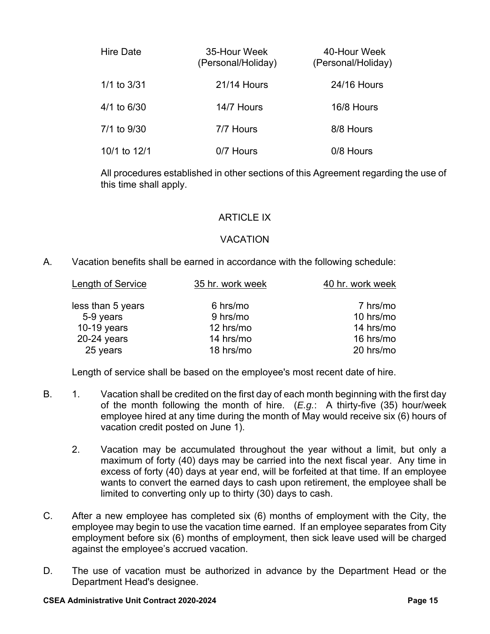| Hire Date       | 35-Hour Week<br>(Personal/Holiday) | 40-Hour Week<br>(Personal/Holiday) |
|-----------------|------------------------------------|------------------------------------|
| $1/1$ to $3/31$ | <b>21/14 Hours</b>                 | 24/16 Hours                        |
| 4/1 to 6/30     | 14/7 Hours                         | 16/8 Hours                         |
| 7/1 to 9/30     | 7/7 Hours                          | 8/8 Hours                          |
| 10/1 to 12/1    | 0/7 Hours                          | 0/8 Hours                          |

All procedures established in other sections of this Agreement regarding the use of this time shall apply.

# ARTICLE IX

# VACATION

A. Vacation benefits shall be earned in accordance with the following schedule:

| Length of Service | 35 hr. work week | 40 hr. work week |
|-------------------|------------------|------------------|
| less than 5 years | 6 hrs/mo         | 7 hrs/mo         |
| 5-9 years         | 9 hrs/mo         | 10 hrs/mo        |
| 10-19 years       | 12 hrs/mo        | 14 hrs/mo        |
| $20-24$ years     | 14 hrs/mo        | 16 hrs/mo        |
| 25 years          | 18 hrs/mo        | 20 hrs/mo        |
|                   |                  |                  |

Length of service shall be based on the employee's most recent date of hire.

- B. 1. Vacation shall be credited on the first day of each month beginning with the first day of the month following the month of hire. (*E.g.*: A thirty-five (35) hour/week employee hired at any time during the month of May would receive six (6) hours of vacation credit posted on June 1).
	- 2. Vacation may be accumulated throughout the year without a limit, but only a maximum of forty (40) days may be carried into the next fiscal year. Any time in excess of forty (40) days at year end, will be forfeited at that time. If an employee wants to convert the earned days to cash upon retirement, the employee shall be limited to converting only up to thirty (30) days to cash.
- C. After a new employee has completed six (6) months of employment with the City, the employee may begin to use the vacation time earned. If an employee separates from City employment before six (6) months of employment, then sick leave used will be charged against the employee's accrued vacation.
- D. The use of vacation must be authorized in advance by the Department Head or the Department Head's designee.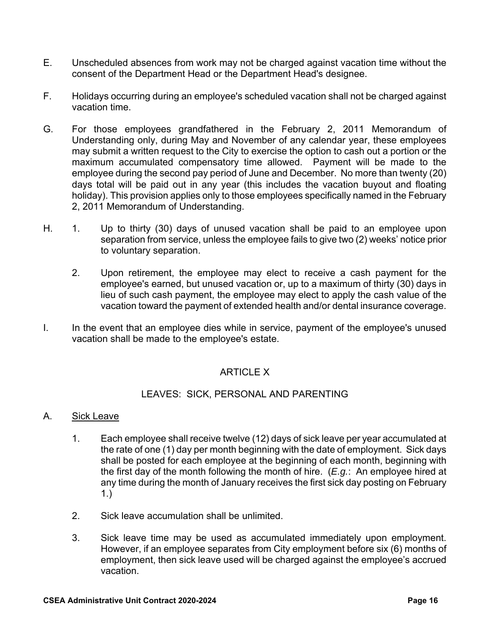- E. Unscheduled absences from work may not be charged against vacation time without the consent of the Department Head or the Department Head's designee.
- F. Holidays occurring during an employee's scheduled vacation shall not be charged against vacation time.
- G. For those employees grandfathered in the February 2, 2011 Memorandum of Understanding only, during May and November of any calendar year, these employees may submit a written request to the City to exercise the option to cash out a portion or the maximum accumulated compensatory time allowed. Payment will be made to the employee during the second pay period of June and December. No more than twenty (20) days total will be paid out in any year (this includes the vacation buyout and floating holiday). This provision applies only to those employees specifically named in the February 2, 2011 Memorandum of Understanding.
- H. 1. Up to thirty (30) days of unused vacation shall be paid to an employee upon separation from service, unless the employee fails to give two (2) weeks' notice prior to voluntary separation.
	- 2. Upon retirement, the employee may elect to receive a cash payment for the employee's earned, but unused vacation or, up to a maximum of thirty (30) days in lieu of such cash payment, the employee may elect to apply the cash value of the vacation toward the payment of extended health and/or dental insurance coverage.
- I. In the event that an employee dies while in service, payment of the employee's unused vacation shall be made to the employee's estate.

# ARTICLE X

# LEAVES: SICK, PERSONAL AND PARENTING

# A. Sick Leave

- 1. Each employee shall receive twelve (12) days of sick leave per year accumulated at the rate of one (1) day per month beginning with the date of employment. Sick days shall be posted for each employee at the beginning of each month, beginning with the first day of the month following the month of hire. (*E.g.*: An employee hired at any time during the month of January receives the first sick day posting on February 1.)
- 2. Sick leave accumulation shall be unlimited.
- 3. Sick leave time may be used as accumulated immediately upon employment. However, if an employee separates from City employment before six (6) months of employment, then sick leave used will be charged against the employee's accrued vacation.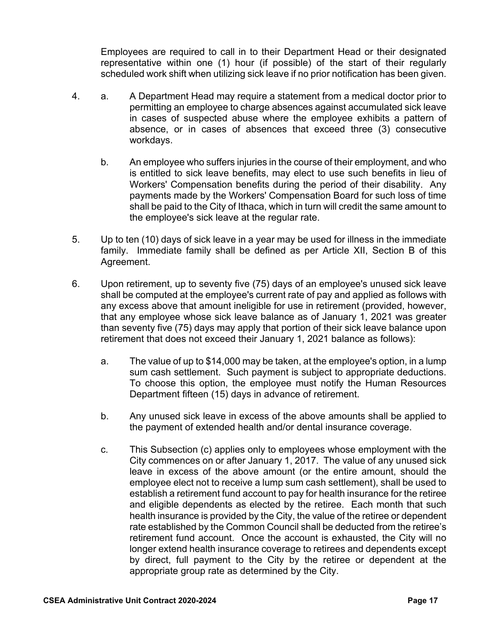Employees are required to call in to their Department Head or their designated representative within one (1) hour (if possible) of the start of their regularly scheduled work shift when utilizing sick leave if no prior notification has been given.

- 4. a. A Department Head may require a statement from a medical doctor prior to permitting an employee to charge absences against accumulated sick leave in cases of suspected abuse where the employee exhibits a pattern of absence, or in cases of absences that exceed three (3) consecutive workdays.
	- b. An employee who suffers injuries in the course of their employment, and who is entitled to sick leave benefits, may elect to use such benefits in lieu of Workers' Compensation benefits during the period of their disability. Any payments made by the Workers' Compensation Board for such loss of time shall be paid to the City of Ithaca, which in turn will credit the same amount to the employee's sick leave at the regular rate.
- 5. Up to ten (10) days of sick leave in a year may be used for illness in the immediate family. Immediate family shall be defined as per Article XII, Section B of this Agreement.
- 6. Upon retirement, up to seventy five (75) days of an employee's unused sick leave shall be computed at the employee's current rate of pay and applied as follows with any excess above that amount ineligible for use in retirement (provided, however, that any employee whose sick leave balance as of January 1, 2021 was greater than seventy five (75) days may apply that portion of their sick leave balance upon retirement that does not exceed their January 1, 2021 balance as follows):
	- a. The value of up to \$14,000 may be taken, at the employee's option, in a lump sum cash settlement. Such payment is subject to appropriate deductions. To choose this option, the employee must notify the Human Resources Department fifteen (15) days in advance of retirement.
	- b. Any unused sick leave in excess of the above amounts shall be applied to the payment of extended health and/or dental insurance coverage.
	- c. This Subsection (c) applies only to employees whose employment with the City commences on or after January 1, 2017. The value of any unused sick leave in excess of the above amount (or the entire amount, should the employee elect not to receive a lump sum cash settlement), shall be used to establish a retirement fund account to pay for health insurance for the retiree and eligible dependents as elected by the retiree. Each month that such health insurance is provided by the City, the value of the retiree or dependent rate established by the Common Council shall be deducted from the retiree's retirement fund account. Once the account is exhausted, the City will no longer extend health insurance coverage to retirees and dependents except by direct, full payment to the City by the retiree or dependent at the appropriate group rate as determined by the City.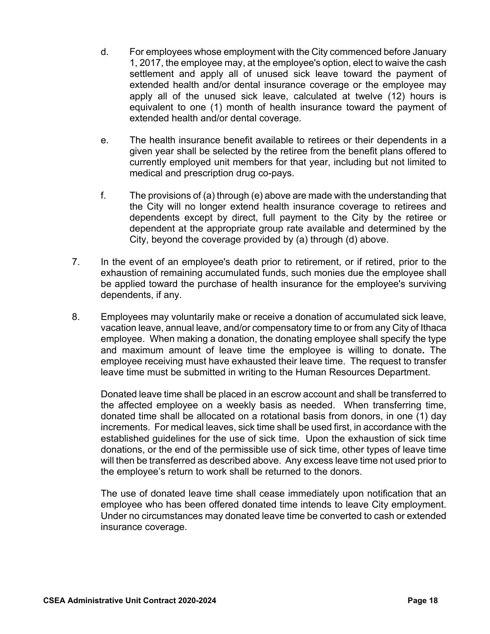- d. For employees whose employment with the City commenced before January 1, 2017, the employee may, at the employee's option, elect to waive the cash settlement and apply all of unused sick leave toward the payment of extended health and/or dental insurance coverage or the employee may apply all of the unused sick leave, calculated at twelve (12) hours is equivalent to one (1) month of health insurance toward the payment of extended health and/or dental coverage.
- e. The health insurance benefit available to retirees or their dependents in a given year shall be selected by the retiree from the benefit plans offered to currently employed unit members for that year, including but not limited to medical and prescription drug co-pays.
- f. The provisions of (a) through (e) above are made with the understanding that the City will no longer extend health insurance coverage to retirees and dependents except by direct, full payment to the City by the retiree or dependent at the appropriate group rate available and determined by the City, beyond the coverage provided by (a) through (d) above.
- 7. In the event of an employee's death prior to retirement, or if retired, prior to the exhaustion of remaining accumulated funds, such monies due the employee shall be applied toward the purchase of health insurance for the employee's surviving dependents, if any.
- 8. Employees may voluntarily make or receive a donation of accumulated sick leave, vacation leave, annual leave, and/or compensatory time to or from any City of Ithaca employee. When making a donation, the donating employee shall specify the type and maximum amount of leave time the employee is willing to donate**.** The employee receiving must have exhausted their leave time. The request to transfer leave time must be submitted in writing to the Human Resources Department.

 Donated leave time shall be placed in an escrow account and shall be transferred to the affected employee on a weekly basis as needed. When transferring time, donated time shall be allocated on a rotational basis from donors, in one (1) day increments. For medical leaves, sick time shall be used first, in accordance with the established guidelines for the use of sick time. Upon the exhaustion of sick time donations, or the end of the permissible use of sick time, other types of leave time will then be transferred as described above. Any excess leave time not used prior to the employee's return to work shall be returned to the donors.

 The use of donated leave time shall cease immediately upon notification that an employee who has been offered donated time intends to leave City employment. Under no circumstances may donated leave time be converted to cash or extended insurance coverage.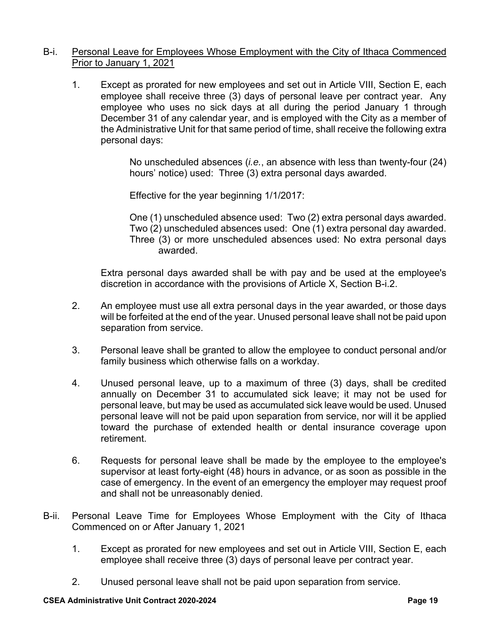#### B-i. Personal Leave for Employees Whose Employment with the City of Ithaca Commenced Prior to January 1, 2021

1. Except as prorated for new employees and set out in Article VIII, Section E, each employee shall receive three (3) days of personal leave per contract year. Any employee who uses no sick days at all during the period January 1 through December 31 of any calendar year, and is employed with the City as a member of the Administrative Unit for that same period of time, shall receive the following extra personal days:

> No unscheduled absences (*i.e.*, an absence with less than twenty-four (24) hours' notice) used: Three (3) extra personal days awarded.

Effective for the year beginning 1/1/2017:

One (1) unscheduled absence used: Two (2) extra personal days awarded. Two (2) unscheduled absences used: One (1) extra personal day awarded. Three (3) or more unscheduled absences used: No extra personal days awarded.

Extra personal days awarded shall be with pay and be used at the employee's discretion in accordance with the provisions of Article X, Section B-i.2.

- 2. An employee must use all extra personal days in the year awarded, or those days will be forfeited at the end of the year. Unused personal leave shall not be paid upon separation from service.
- 3. Personal leave shall be granted to allow the employee to conduct personal and/or family business which otherwise falls on a workday.
- 4. Unused personal leave, up to a maximum of three (3) days, shall be credited annually on December 31 to accumulated sick leave; it may not be used for personal leave, but may be used as accumulated sick leave would be used. Unused personal leave will not be paid upon separation from service, nor will it be applied toward the purchase of extended health or dental insurance coverage upon retirement.
- 6. Requests for personal leave shall be made by the employee to the employee's supervisor at least forty-eight (48) hours in advance, or as soon as possible in the case of emergency. In the event of an emergency the employer may request proof and shall not be unreasonably denied.
- B-ii. Personal Leave Time for Employees Whose Employment with the City of Ithaca Commenced on or After January 1, 2021
	- 1. Except as prorated for new employees and set out in Article VIII, Section E, each employee shall receive three (3) days of personal leave per contract year.
	- 2. Unused personal leave shall not be paid upon separation from service.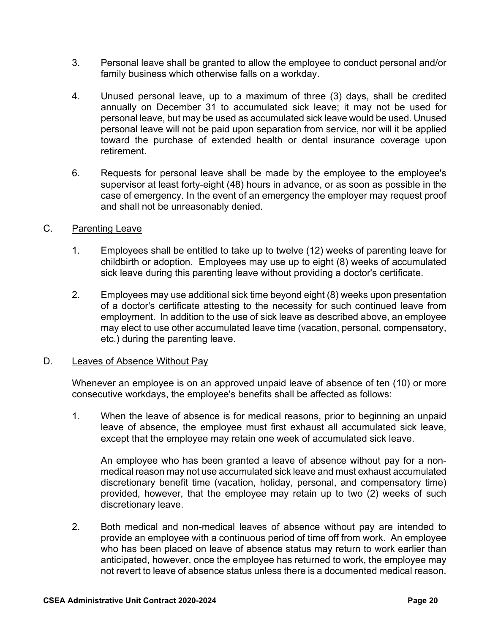- 3. Personal leave shall be granted to allow the employee to conduct personal and/or family business which otherwise falls on a workday.
- 4. Unused personal leave, up to a maximum of three (3) days, shall be credited annually on December 31 to accumulated sick leave; it may not be used for personal leave, but may be used as accumulated sick leave would be used. Unused personal leave will not be paid upon separation from service, nor will it be applied toward the purchase of extended health or dental insurance coverage upon retirement.
- 6. Requests for personal leave shall be made by the employee to the employee's supervisor at least forty-eight (48) hours in advance, or as soon as possible in the case of emergency. In the event of an emergency the employer may request proof and shall not be unreasonably denied.

# C. Parenting Leave

- 1. Employees shall be entitled to take up to twelve (12) weeks of parenting leave for childbirth or adoption. Employees may use up to eight (8) weeks of accumulated sick leave during this parenting leave without providing a doctor's certificate.
- 2. Employees may use additional sick time beyond eight (8) weeks upon presentation of a doctor's certificate attesting to the necessity for such continued leave from employment. In addition to the use of sick leave as described above, an employee may elect to use other accumulated leave time (vacation, personal, compensatory, etc.) during the parenting leave.

# D. Leaves of Absence Without Pay

Whenever an employee is on an approved unpaid leave of absence of ten (10) or more consecutive workdays, the employee's benefits shall be affected as follows:

1. When the leave of absence is for medical reasons, prior to beginning an unpaid leave of absence, the employee must first exhaust all accumulated sick leave, except that the employee may retain one week of accumulated sick leave.

An employee who has been granted a leave of absence without pay for a nonmedical reason may not use accumulated sick leave and must exhaust accumulated discretionary benefit time (vacation, holiday, personal, and compensatory time) provided, however, that the employee may retain up to two (2) weeks of such discretionary leave.

2. Both medical and non-medical leaves of absence without pay are intended to provide an employee with a continuous period of time off from work. An employee who has been placed on leave of absence status may return to work earlier than anticipated, however, once the employee has returned to work, the employee may not revert to leave of absence status unless there is a documented medical reason.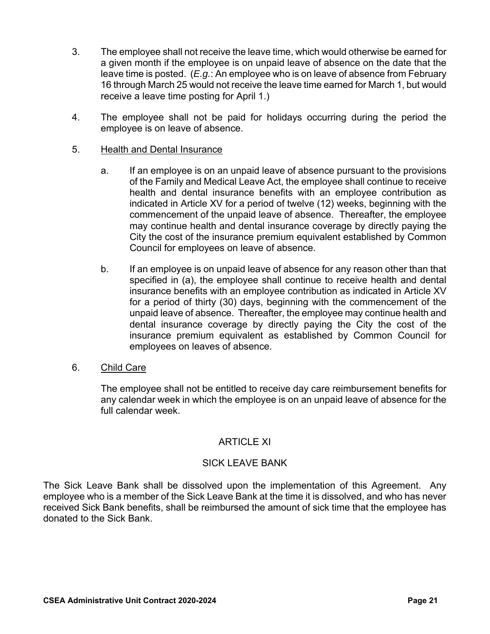- 3. The employee shall not receive the leave time, which would otherwise be earned for a given month if the employee is on unpaid leave of absence on the date that the leave time is posted. (*E.g.*: An employee who is on leave of absence from February 16 through March 25 would not receive the leave time earned for March 1, but would receive a leave time posting for April 1.)
- 4. The employee shall not be paid for holidays occurring during the period the employee is on leave of absence.

# 5. Health and Dental Insurance

- a. If an employee is on an unpaid leave of absence pursuant to the provisions of the Family and Medical Leave Act, the employee shall continue to receive health and dental insurance benefits with an employee contribution as indicated in Article XV for a period of twelve (12) weeks, beginning with the commencement of the unpaid leave of absence. Thereafter, the employee may continue health and dental insurance coverage by directly paying the City the cost of the insurance premium equivalent established by Common Council for employees on leave of absence.
- b. If an employee is on unpaid leave of absence for any reason other than that specified in (a), the employee shall continue to receive health and dental insurance benefits with an employee contribution as indicated in Article XV for a period of thirty (30) days, beginning with the commencement of the unpaid leave of absence. Thereafter, the employee may continue health and dental insurance coverage by directly paying the City the cost of the insurance premium equivalent as established by Common Council for employees on leaves of absence.

# 6. Child Care

The employee shall not be entitled to receive day care reimbursement benefits for any calendar week in which the employee is on an unpaid leave of absence for the full calendar week.

# ARTICLE XI

# SICK LEAVE BANK

The Sick Leave Bank shall be dissolved upon the implementation of this Agreement. Any employee who is a member of the Sick Leave Bank at the time it is dissolved, and who has never received Sick Bank benefits, shall be reimbursed the amount of sick time that the employee has donated to the Sick Bank.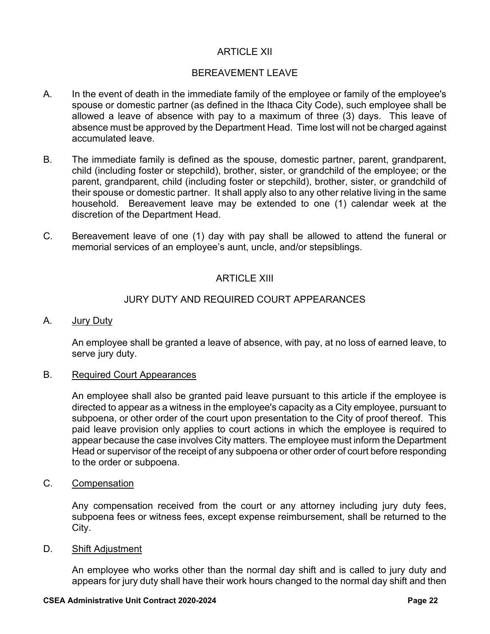# ARTICLE XII

# BEREAVEMENT LEAVE

- A. In the event of death in the immediate family of the employee or family of the employee's spouse or domestic partner (as defined in the Ithaca City Code), such employee shall be allowed a leave of absence with pay to a maximum of three (3) days. This leave of absence must be approved by the Department Head. Time lost will not be charged against accumulated leave.
- B. The immediate family is defined as the spouse, domestic partner, parent, grandparent, child (including foster or stepchild), brother, sister, or grandchild of the employee; or the parent, grandparent, child (including foster or stepchild), brother, sister, or grandchild of their spouse or domestic partner. It shall apply also to any other relative living in the same household. Bereavement leave may be extended to one (1) calendar week at the discretion of the Department Head.
- C. Bereavement leave of one (1) day with pay shall be allowed to attend the funeral or memorial services of an employee's aunt, uncle, and/or stepsiblings.

# ARTICLE XIII

# JURY DUTY AND REQUIRED COURT APPEARANCES

A. Jury Duty

An employee shall be granted a leave of absence, with pay, at no loss of earned leave, to serve jury duty.

#### B. Required Court Appearances

An employee shall also be granted paid leave pursuant to this article if the employee is directed to appear as a witness in the employee's capacity as a City employee, pursuant to subpoena, or other order of the court upon presentation to the City of proof thereof. This paid leave provision only applies to court actions in which the employee is required to appear because the case involves City matters. The employee must inform the Department Head or supervisor of the receipt of any subpoena or other order of court before responding to the order or subpoena.

C. Compensation

Any compensation received from the court or any attorney including jury duty fees, subpoena fees or witness fees, except expense reimbursement, shall be returned to the City.

D. Shift Adjustment

An employee who works other than the normal day shift and is called to jury duty and appears for jury duty shall have their work hours changed to the normal day shift and then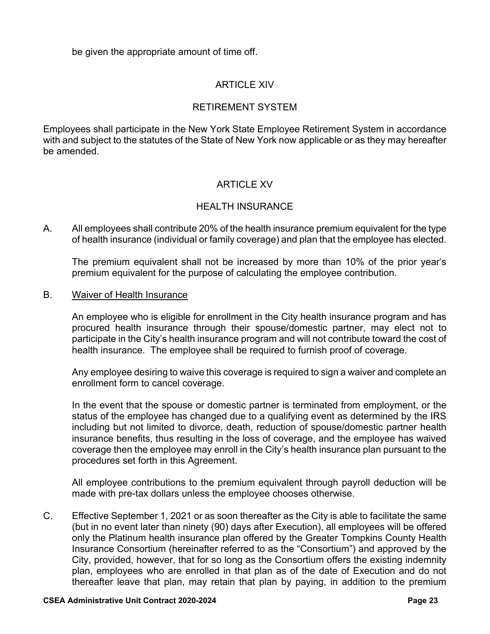be given the appropriate amount of time off.

# ARTICLE XIV

# RETIREMENT SYSTEM

Employees shall participate in the New York State Employee Retirement System in accordance with and subject to the statutes of the State of New York now applicable or as they may hereafter be amended.

# ARTICLE XV

# HEALTH INSURANCE

A. All employees shall contribute 20% of the health insurance premium equivalent for the type of health insurance (individual or family coverage) and plan that the employee has elected.

The premium equivalent shall not be increased by more than 10% of the prior year's premium equivalent for the purpose of calculating the employee contribution.

#### B. Waiver of Health Insurance

An employee who is eligible for enrollment in the City health insurance program and has procured health insurance through their spouse/domestic partner, may elect not to participate in the City's health insurance program and will not contribute toward the cost of health insurance. The employee shall be required to furnish proof of coverage.

Any employee desiring to waive this coverage is required to sign a waiver and complete an enrollment form to cancel coverage.

In the event that the spouse or domestic partner is terminated from employment, or the status of the employee has changed due to a qualifying event as determined by the IRS including but not limited to divorce, death, reduction of spouse/domestic partner health insurance benefits, thus resulting in the loss of coverage, and the employee has waived coverage then the employee may enroll in the City's health insurance plan pursuant to the procedures set forth in this Agreement.

All employee contributions to the premium equivalent through payroll deduction will be made with pre-tax dollars unless the employee chooses otherwise.

C. Effective September 1, 2021 or as soon thereafter as the City is able to facilitate the same (but in no event later than ninety (90) days after Execution), all employees will be offered only the Platinum health insurance plan offered by the Greater Tompkins County Health Insurance Consortium (hereinafter referred to as the "Consortium") and approved by the City, provided, however, that for so long as the Consortium offers the existing indemnity plan, employees who are enrolled in that plan as of the date of Execution and do not thereafter leave that plan, may retain that plan by paying, in addition to the premium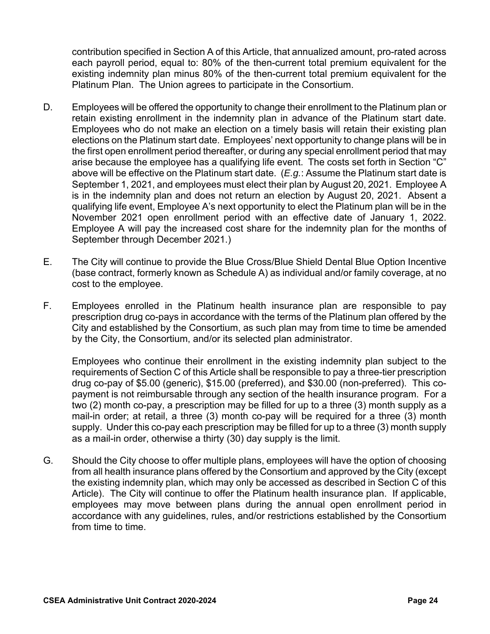contribution specified in Section A of this Article, that annualized amount, pro-rated across each payroll period, equal to: 80% of the then-current total premium equivalent for the existing indemnity plan minus 80% of the then-current total premium equivalent for the Platinum Plan. The Union agrees to participate in the Consortium.

- D. Employees will be offered the opportunity to change their enrollment to the Platinum plan or retain existing enrollment in the indemnity plan in advance of the Platinum start date. Employees who do not make an election on a timely basis will retain their existing plan elections on the Platinum start date. Employees' next opportunity to change plans will be in the first open enrollment period thereafter, or during any special enrollment period that may arise because the employee has a qualifying life event. The costs set forth in Section "C" above will be effective on the Platinum start date. (*E.g.*: Assume the Platinum start date is September 1, 2021, and employees must elect their plan by August 20, 2021. Employee A is in the indemnity plan and does not return an election by August 20, 2021. Absent a qualifying life event, Employee A's next opportunity to elect the Platinum plan will be in the November 2021 open enrollment period with an effective date of January 1, 2022. Employee A will pay the increased cost share for the indemnity plan for the months of September through December 2021.)
- E. The City will continue to provide the Blue Cross/Blue Shield Dental Blue Option Incentive (base contract, formerly known as Schedule A) as individual and/or family coverage, at no cost to the employee.
- F. Employees enrolled in the Platinum health insurance plan are responsible to pay prescription drug co-pays in accordance with the terms of the Platinum plan offered by the City and established by the Consortium, as such plan may from time to time be amended by the City, the Consortium, and/or its selected plan administrator.

Employees who continue their enrollment in the existing indemnity plan subject to the requirements of Section C of this Article shall be responsible to pay a three-tier prescription drug co-pay of \$5.00 (generic), \$15.00 (preferred), and \$30.00 (non-preferred). This copayment is not reimbursable through any section of the health insurance program. For a two (2) month co-pay, a prescription may be filled for up to a three (3) month supply as a mail-in order; at retail, a three (3) month co-pay will be required for a three (3) month supply. Under this co-pay each prescription may be filled for up to a three (3) month supply as a mail-in order, otherwise a thirty (30) day supply is the limit.

G. Should the City choose to offer multiple plans, employees will have the option of choosing from all health insurance plans offered by the Consortium and approved by the City (except the existing indemnity plan, which may only be accessed as described in Section C of this Article). The City will continue to offer the Platinum health insurance plan. If applicable, employees may move between plans during the annual open enrollment period in accordance with any guidelines, rules, and/or restrictions established by the Consortium from time to time.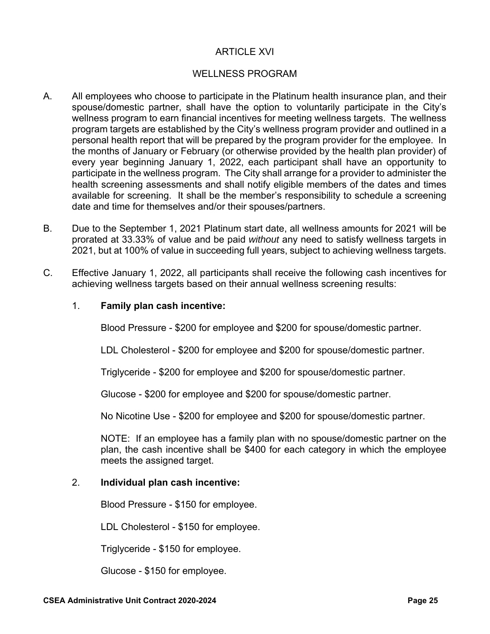# ARTICLE XVI

# WELLNESS PROGRAM

- A. All employees who choose to participate in the Platinum health insurance plan, and their spouse/domestic partner, shall have the option to voluntarily participate in the City's wellness program to earn financial incentives for meeting wellness targets. The wellness program targets are established by the City's wellness program provider and outlined in a personal health report that will be prepared by the program provider for the employee. In the months of January or February (or otherwise provided by the health plan provider) of every year beginning January 1, 2022, each participant shall have an opportunity to participate in the wellness program. The City shall arrange for a provider to administer the health screening assessments and shall notify eligible members of the dates and times available for screening. It shall be the member's responsibility to schedule a screening date and time for themselves and/or their spouses/partners.
- B. Due to the September 1, 2021 Platinum start date, all wellness amounts for 2021 will be prorated at 33.33% of value and be paid *without* any need to satisfy wellness targets in 2021, but at 100% of value in succeeding full years, subject to achieving wellness targets.
- C. Effective January 1, 2022, all participants shall receive the following cash incentives for achieving wellness targets based on their annual wellness screening results:

#### 1. **Family plan cash incentive:**

Blood Pressure - \$200 for employee and \$200 for spouse/domestic partner.

LDL Cholesterol - \$200 for employee and \$200 for spouse/domestic partner.

Triglyceride - \$200 for employee and \$200 for spouse/domestic partner.

Glucose - \$200 for employee and \$200 for spouse/domestic partner.

No Nicotine Use - \$200 for employee and \$200 for spouse/domestic partner.

NOTE: If an employee has a family plan with no spouse/domestic partner on the plan, the cash incentive shall be \$400 for each category in which the employee meets the assigned target.

#### 2. **Individual plan cash incentive:**

Blood Pressure - \$150 for employee.

LDL Cholesterol - \$150 for employee.

Triglyceride - \$150 for employee.

Glucose - \$150 for employee.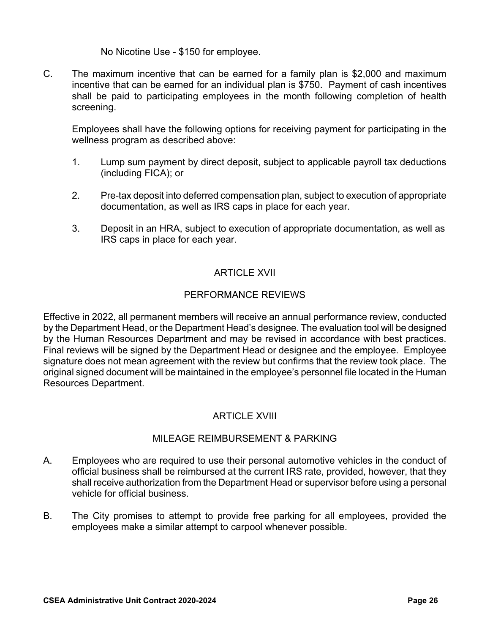No Nicotine Use - \$150 for employee.

C. The maximum incentive that can be earned for a family plan is \$2,000 and maximum incentive that can be earned for an individual plan is \$750. Payment of cash incentives shall be paid to participating employees in the month following completion of health screening.

Employees shall have the following options for receiving payment for participating in the wellness program as described above:

- 1. Lump sum payment by direct deposit, subject to applicable payroll tax deductions (including FICA); or
- 2. Pre-tax deposit into deferred compensation plan, subject to execution of appropriate documentation, as well as IRS caps in place for each year.
- 3. Deposit in an HRA, subject to execution of appropriate documentation, as well as IRS caps in place for each year.

# ARTICLE XVII

# PERFORMANCE REVIEWS

Effective in 2022, all permanent members will receive an annual performance review, conducted by the Department Head, or the Department Head's designee. The evaluation tool will be designed by the Human Resources Department and may be revised in accordance with best practices. Final reviews will be signed by the Department Head or designee and the employee. Employee signature does not mean agreement with the review but confirms that the review took place. The original signed document will be maintained in the employee's personnel file located in the Human Resources Department.

# ARTICLE XVIII

# MILEAGE REIMBURSEMENT & PARKING

- A. Employees who are required to use their personal automotive vehicles in the conduct of official business shall be reimbursed at the current IRS rate, provided, however, that they shall receive authorization from the Department Head or supervisor before using a personal vehicle for official business.
- B. The City promises to attempt to provide free parking for all employees, provided the employees make a similar attempt to carpool whenever possible.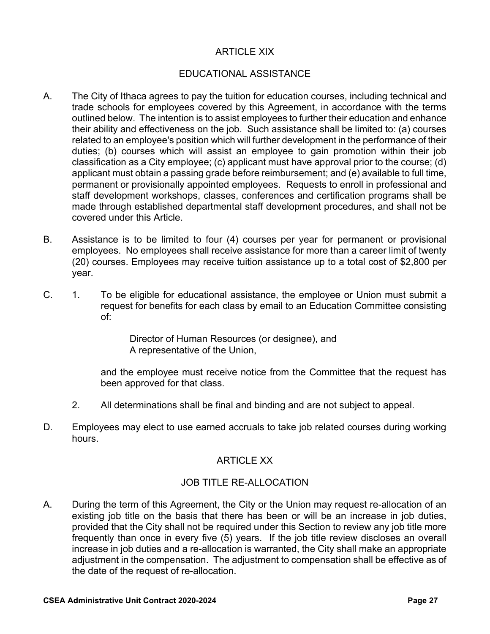# ARTICLE XIX

# EDUCATIONAL ASSISTANCE

- A. The City of Ithaca agrees to pay the tuition for education courses, including technical and trade schools for employees covered by this Agreement, in accordance with the terms outlined below. The intention is to assist employees to further their education and enhance their ability and effectiveness on the job. Such assistance shall be limited to: (a) courses related to an employee's position which will further development in the performance of their duties; (b) courses which will assist an employee to gain promotion within their job classification as a City employee; (c) applicant must have approval prior to the course; (d) applicant must obtain a passing grade before reimbursement; and (e) available to full time, permanent or provisionally appointed employees. Requests to enroll in professional and staff development workshops, classes, conferences and certification programs shall be made through established departmental staff development procedures, and shall not be covered under this Article.
- B. Assistance is to be limited to four (4) courses per year for permanent or provisional employees. No employees shall receive assistance for more than a career limit of twenty (20) courses. Employees may receive tuition assistance up to a total cost of \$2,800 per year.
- C. 1. To be eligible for educational assistance, the employee or Union must submit a request for benefits for each class by email to an Education Committee consisting of:

Director of Human Resources (or designee), and A representative of the Union,

and the employee must receive notice from the Committee that the request has been approved for that class.

- 2. All determinations shall be final and binding and are not subject to appeal.
- D. Employees may elect to use earned accruals to take job related courses during working hours.

# ARTICLE XX

# JOB TITLE RE-ALLOCATION

A. During the term of this Agreement, the City or the Union may request re-allocation of an existing job title on the basis that there has been or will be an increase in job duties, provided that the City shall not be required under this Section to review any job title more frequently than once in every five (5) years. If the job title review discloses an overall increase in job duties and a re-allocation is warranted, the City shall make an appropriate adjustment in the compensation. The adjustment to compensation shall be effective as of the date of the request of re-allocation.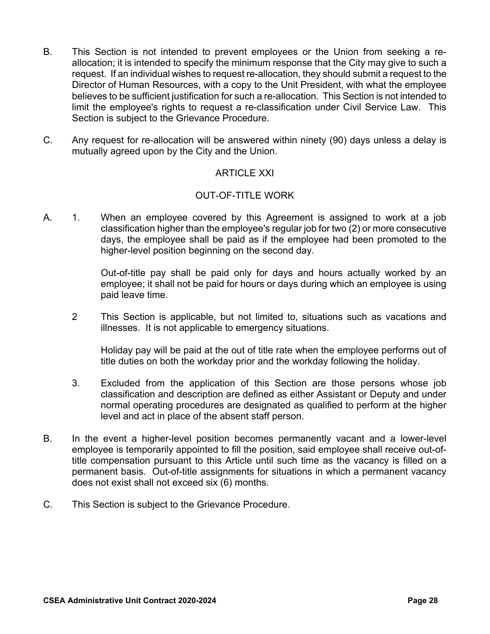- B. This Section is not intended to prevent employees or the Union from seeking a reallocation; it is intended to specify the minimum response that the City may give to such a request. If an individual wishes to request re-allocation, they should submit a request to the Director of Human Resources, with a copy to the Unit President, with what the employee believes to be sufficient justification for such a re-allocation. This Section is not intended to limit the employee's rights to request a re-classification under Civil Service Law. This Section is subject to the Grievance Procedure.
- C. Any request for re-allocation will be answered within ninety (90) days unless a delay is mutually agreed upon by the City and the Union.

# ARTICLE XXI

# OUT-OF-TITLE WORK

A. 1. When an employee covered by this Agreement is assigned to work at a job classification higher than the employee's regular job for two (2) or more consecutive days, the employee shall be paid as if the employee had been promoted to the higher-level position beginning on the second day.

> Out-of-title pay shall be paid only for days and hours actually worked by an employee; it shall not be paid for hours or days during which an employee is using paid leave time.

2 This Section is applicable, but not limited to, situations such as vacations and illnesses. It is not applicable to emergency situations.

Holiday pay will be paid at the out of title rate when the employee performs out of title duties on both the workday prior and the workday following the holiday.

- 3. Excluded from the application of this Section are those persons whose job classification and description are defined as either Assistant or Deputy and under normal operating procedures are designated as qualified to perform at the higher level and act in place of the absent staff person.
- B. In the event a higher-level position becomes permanently vacant and a lower-level employee is temporarily appointed to fill the position, said employee shall receive out-oftitle compensation pursuant to this Article until such time as the vacancy is filled on a permanent basis. Out-of-title assignments for situations in which a permanent vacancy does not exist shall not exceed six (6) months.
- C. This Section is subject to the Grievance Procedure.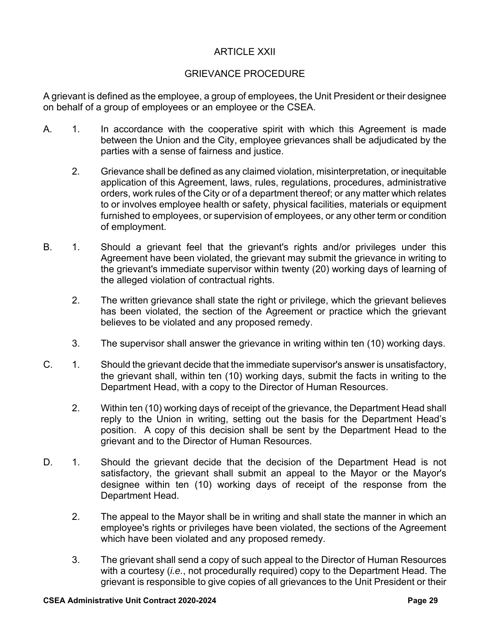# ARTICLE XXII

# GRIEVANCE PROCEDURE

A grievant is defined as the employee, a group of employees, the Unit President or their designee on behalf of a group of employees or an employee or the CSEA.

- A. 1. In accordance with the cooperative spirit with which this Agreement is made between the Union and the City, employee grievances shall be adjudicated by the parties with a sense of fairness and justice.
	- 2. Grievance shall be defined as any claimed violation, misinterpretation, or inequitable application of this Agreement, laws, rules, regulations, procedures, administrative orders, work rules of the City or of a department thereof; or any matter which relates to or involves employee health or safety, physical facilities, materials or equipment furnished to employees, or supervision of employees, or any other term or condition of employment.
- B. 1. Should a grievant feel that the grievant's rights and/or privileges under this Agreement have been violated, the grievant may submit the grievance in writing to the grievant's immediate supervisor within twenty (20) working days of learning of the alleged violation of contractual rights.
	- 2. The written grievance shall state the right or privilege, which the grievant believes has been violated, the section of the Agreement or practice which the grievant believes to be violated and any proposed remedy.
	- 3. The supervisor shall answer the grievance in writing within ten (10) working days.
- C. 1. Should the grievant decide that the immediate supervisor's answer is unsatisfactory, the grievant shall, within ten (10) working days, submit the facts in writing to the Department Head, with a copy to the Director of Human Resources.
	- 2. Within ten (10) working days of receipt of the grievance, the Department Head shall reply to the Union in writing, setting out the basis for the Department Head's position. A copy of this decision shall be sent by the Department Head to the grievant and to the Director of Human Resources.
- D. 1. Should the grievant decide that the decision of the Department Head is not satisfactory, the grievant shall submit an appeal to the Mayor or the Mayor's designee within ten (10) working days of receipt of the response from the Department Head.
	- 2. The appeal to the Mayor shall be in writing and shall state the manner in which an employee's rights or privileges have been violated, the sections of the Agreement which have been violated and any proposed remedy.
	- 3. The grievant shall send a copy of such appeal to the Director of Human Resources with a courtesy (*i.e.*, not procedurally required) copy to the Department Head. The grievant is responsible to give copies of all grievances to the Unit President or their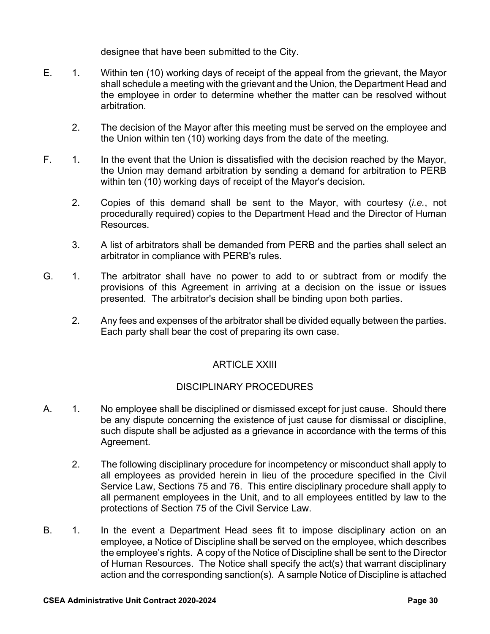designee that have been submitted to the City.

- E. 1. Within ten (10) working days of receipt of the appeal from the grievant, the Mayor shall schedule a meeting with the grievant and the Union, the Department Head and the employee in order to determine whether the matter can be resolved without arbitration.
	- 2. The decision of the Mayor after this meeting must be served on the employee and the Union within ten (10) working days from the date of the meeting.
- F. 1. In the event that the Union is dissatisfied with the decision reached by the Mayor, the Union may demand arbitration by sending a demand for arbitration to PERB within ten (10) working days of receipt of the Mayor's decision.
	- 2. Copies of this demand shall be sent to the Mayor, with courtesy (*i.e.*, not procedurally required) copies to the Department Head and the Director of Human Resources.
	- 3. A list of arbitrators shall be demanded from PERB and the parties shall select an arbitrator in compliance with PERB's rules.
- G. 1. The arbitrator shall have no power to add to or subtract from or modify the provisions of this Agreement in arriving at a decision on the issue or issues presented. The arbitrator's decision shall be binding upon both parties.
	- 2. Any fees and expenses of the arbitrator shall be divided equally between the parties. Each party shall bear the cost of preparing its own case.

# ARTICLE XXIII

# DISCIPLINARY PROCEDURES

- A. 1. No employee shall be disciplined or dismissed except for just cause. Should there be any dispute concerning the existence of just cause for dismissal or discipline, such dispute shall be adjusted as a grievance in accordance with the terms of this Agreement.
	- 2. The following disciplinary procedure for incompetency or misconduct shall apply to all employees as provided herein in lieu of the procedure specified in the Civil Service Law, Sections 75 and 76. This entire disciplinary procedure shall apply to all permanent employees in the Unit, and to all employees entitled by law to the protections of Section 75 of the Civil Service Law.
- B. 1. In the event a Department Head sees fit to impose disciplinary action on an employee, a Notice of Discipline shall be served on the employee, which describes the employee's rights. A copy of the Notice of Discipline shall be sent to the Director of Human Resources. The Notice shall specify the act(s) that warrant disciplinary action and the corresponding sanction(s). A sample Notice of Discipline is attached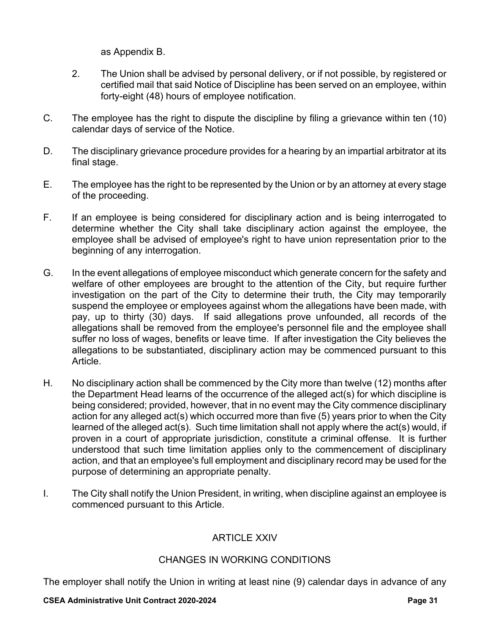as Appendix B.

- 2. The Union shall be advised by personal delivery, or if not possible, by registered or certified mail that said Notice of Discipline has been served on an employee, within forty-eight (48) hours of employee notification.
- C. The employee has the right to dispute the discipline by filing a grievance within ten (10) calendar days of service of the Notice.
- D. The disciplinary grievance procedure provides for a hearing by an impartial arbitrator at its final stage.
- E. The employee has the right to be represented by the Union or by an attorney at every stage of the proceeding.
- F. If an employee is being considered for disciplinary action and is being interrogated to determine whether the City shall take disciplinary action against the employee, the employee shall be advised of employee's right to have union representation prior to the beginning of any interrogation.
- G. In the event allegations of employee misconduct which generate concern for the safety and welfare of other employees are brought to the attention of the City, but require further investigation on the part of the City to determine their truth, the City may temporarily suspend the employee or employees against whom the allegations have been made, with pay, up to thirty (30) days. If said allegations prove unfounded, all records of the allegations shall be removed from the employee's personnel file and the employee shall suffer no loss of wages, benefits or leave time. If after investigation the City believes the allegations to be substantiated, disciplinary action may be commenced pursuant to this Article.
- H. No disciplinary action shall be commenced by the City more than twelve (12) months after the Department Head learns of the occurrence of the alleged act(s) for which discipline is being considered; provided, however, that in no event may the City commence disciplinary action for any alleged act(s) which occurred more than five (5) years prior to when the City learned of the alleged act(s). Such time limitation shall not apply where the act(s) would, if proven in a court of appropriate jurisdiction, constitute a criminal offense. It is further understood that such time limitation applies only to the commencement of disciplinary action, and that an employee's full employment and disciplinary record may be used for the purpose of determining an appropriate penalty.
- I. The City shall notify the Union President, in writing, when discipline against an employee is commenced pursuant to this Article.

# ARTICLE XXIV

# CHANGES IN WORKING CONDITIONS

The employer shall notify the Union in writing at least nine (9) calendar days in advance of any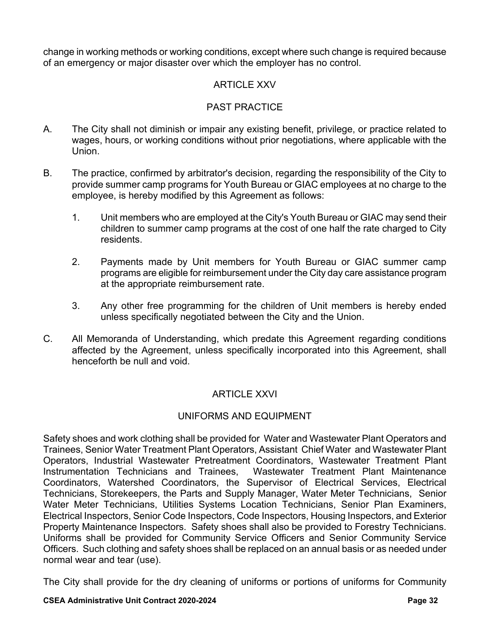change in working methods or working conditions, except where such change is required because of an emergency or major disaster over which the employer has no control.

# ARTICLE XXV

# PAST PRACTICE

- A. The City shall not diminish or impair any existing benefit, privilege, or practice related to wages, hours, or working conditions without prior negotiations, where applicable with the Union.
- B. The practice, confirmed by arbitrator's decision, regarding the responsibility of the City to provide summer camp programs for Youth Bureau or GIAC employees at no charge to the employee, is hereby modified by this Agreement as follows:
	- 1. Unit members who are employed at the City's Youth Bureau or GIAC may send their children to summer camp programs at the cost of one half the rate charged to City residents.
	- 2. Payments made by Unit members for Youth Bureau or GIAC summer camp programs are eligible for reimbursement under the City day care assistance program at the appropriate reimbursement rate.
	- 3. Any other free programming for the children of Unit members is hereby ended unless specifically negotiated between the City and the Union.
- C. All Memoranda of Understanding, which predate this Agreement regarding conditions affected by the Agreement, unless specifically incorporated into this Agreement, shall henceforth be null and void.

# ARTICLE XXVI

# UNIFORMS AND EQUIPMENT

Safety shoes and work clothing shall be provided for Water and Wastewater Plant Operators and Trainees, Senior Water Treatment Plant Operators, Assistant Chief Water and Wastewater Plant Operators, Industrial Wastewater Pretreatment Coordinators, Wastewater Treatment Plant Instrumentation Technicians and Trainees, Wastewater Treatment Plant Maintenance Coordinators, Watershed Coordinators, the Supervisor of Electrical Services, Electrical Technicians, Storekeepers, the Parts and Supply Manager, Water Meter Technicians, Senior Water Meter Technicians, Utilities Systems Location Technicians, Senior Plan Examiners, Electrical Inspectors, Senior Code Inspectors, Code Inspectors, Housing Inspectors, and Exterior Property Maintenance Inspectors. Safety shoes shall also be provided to Forestry Technicians. Uniforms shall be provided for Community Service Officers and Senior Community Service Officers. Such clothing and safety shoes shall be replaced on an annual basis or as needed under normal wear and tear (use).

The City shall provide for the dry cleaning of uniforms or portions of uniforms for Community

#### **CSEA Administrative Unit Contract 2020-2024 Page 32**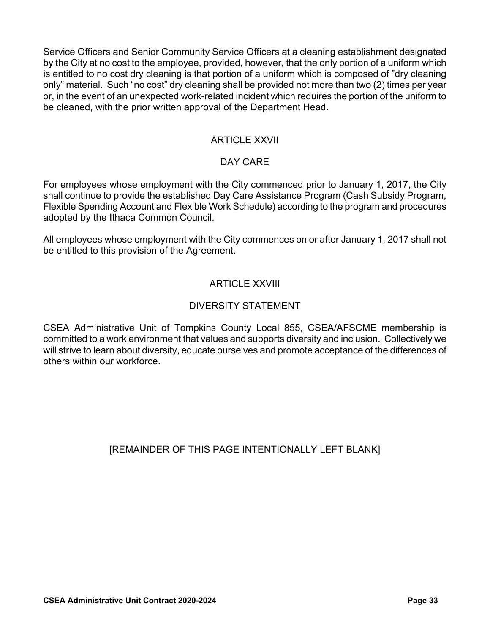Service Officers and Senior Community Service Officers at a cleaning establishment designated by the City at no cost to the employee, provided, however, that the only portion of a uniform which is entitled to no cost dry cleaning is that portion of a uniform which is composed of "dry cleaning only" material. Such "no cost" dry cleaning shall be provided not more than two (2) times per year or, in the event of an unexpected work-related incident which requires the portion of the uniform to be cleaned, with the prior written approval of the Department Head.

# ARTICLE XXVII

# DAY CARE

For employees whose employment with the City commenced prior to January 1, 2017, the City shall continue to provide the established Day Care Assistance Program (Cash Subsidy Program, Flexible Spending Account and Flexible Work Schedule) according to the program and procedures adopted by the Ithaca Common Council.

All employees whose employment with the City commences on or after January 1, 2017 shall not be entitled to this provision of the Agreement.

# ARTICLE XXVIII

# DIVERSITY STATEMENT

CSEA Administrative Unit of Tompkins County Local 855, CSEA/AFSCME membership is committed to a work environment that values and supports diversity and inclusion. Collectively we will strive to learn about diversity, educate ourselves and promote acceptance of the differences of others within our workforce.

# [REMAINDER OF THIS PAGE INTENTIONALLY LEFT BLANK]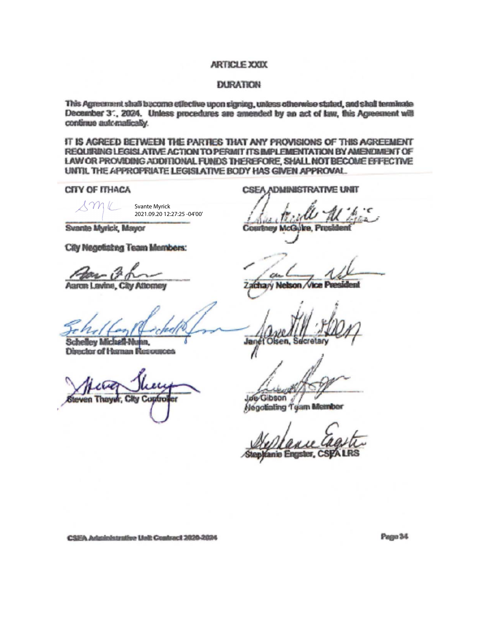#### ARTICLE XXIX

#### **DURATION**

This Agreement shall become effective upon signing, unless otherwise stated, and shall terminate December 3", 2024. Unless procedures are amended by an act of law, this Agreement will continue automatically.

IT IS AGREED BETWEEN THE PARTIES THAT ANY PROVISIONS OF THIS AGREEMENT REQUIRING LEGISLATIVE ACTION TO PERMIT ITS IMPLEMENTATION BY AMENDMENT OF LAW OR PROVIDING ADDITIONAL FUNDS THEREFORE, SHALL NOT BECOME EFFECTIVE UNTIL THE APPROPRIATE LEGISLATIVE BODY HAS GIVEN APPROVAL.

CITY OF ITHACA

Svante Myrick 2021.09.20 12:27:25 -04'00'

Svante Myrick, Mayor

City Negotiating Team Members:

Aaron Lavine, City Attorney

**Schelley Michall-Nunn**, **Director of Human Resources** 

Thawer. **CKV** Contro

**CSEA ADMINISTRATIVE UNIT** 

**Courtney McG** 

Janet Olsen, Secretar

Jue Gibson

Negotialing Team Member

anie Engister, CSPA LRS

CSEA Administrative Unit Contract 2020-2024

Page 34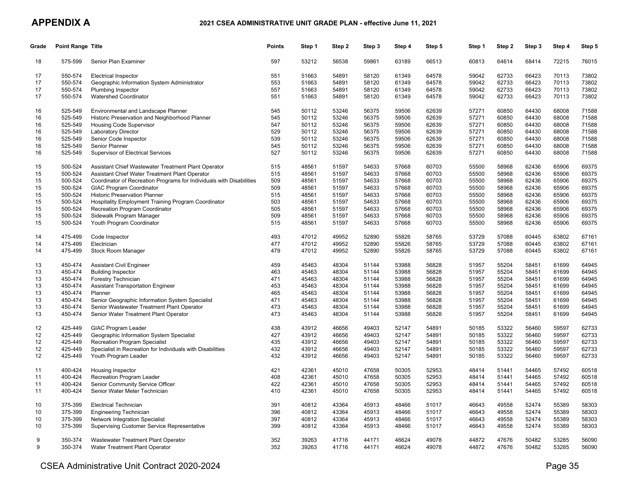#### **APPENDIX A**

#### **2021 CSEA ADMINISTRATIVE UNIT GRADE PLAN - effective June 11, 2021**

| Grade | <b>Point Range Title</b> |                                                                      | <b>Points</b> | Step 1 | Step 2 | Step 3 | Step 4 | Step 5 | Step 1 | Step 2 | Step 3 | Step 4 | Step 5 |
|-------|--------------------------|----------------------------------------------------------------------|---------------|--------|--------|--------|--------|--------|--------|--------|--------|--------|--------|
| 18    | 575-599                  | Senior Plan Examiner                                                 | 597           | 53212  | 56538  | 59861  | 63189  | 66513  | 60813  | 64614  | 68414  | 72215  | 76015  |
| 17    | 550-574                  | <b>Electrical Inspector</b>                                          | 551           | 51663  | 54891  | 58120  | 61349  | 64578  | 59042  | 62733  | 66423  | 70113  | 73802  |
| 17    | 550-574                  | Geographic Information System Administrator                          | 553           | 51663  | 54891  | 58120  | 61349  | 64578  | 59042  | 62733  | 66423  | 70113  | 73802  |
| 17    | 550-574                  | Plumbing Inspector                                                   | 557           | 51663  | 54891  | 58120  | 61349  | 64578  | 59042  | 62733  | 66423  | 70113  | 73802  |
| 17    | 550-574                  | Watershed Coordinator                                                | 551           | 51663  | 54891  | 58120  | 61349  | 64578  | 59042  | 62733  | 66423  | 70113  | 73802  |
| 16    | 525-549                  | Environmental and Landscape Planner                                  | 545           | 50112  | 53246  | 56375  | 59506  | 62639  | 57271  | 60850  | 64430  | 68008  | 71588  |
| 16    | 525-549                  | Historic Preservation and Neighborhood Planner                       | 545           | 50112  | 53246  | 56375  | 59506  | 62639  | 57271  | 60850  | 64430  | 68008  | 71588  |
| 16    | 525-549                  | <b>Housing Code Supervisor</b>                                       | 547           | 50112  | 53246  | 56375  | 59506  | 62639  | 57271  | 60850  | 64430  | 68008  | 71588  |
| 16    | 525-549                  | Laboratory Director                                                  | 529           | 50112  | 53246  | 56375  | 59506  | 62639  | 57271  | 60850  | 64430  | 68008  | 71588  |
| 16    | 525-549                  | Senior Code Inspector                                                | 539           | 50112  | 53246  | 56375  | 59506  | 62639  | 57271  | 60850  | 64430  | 68008  | 71588  |
| 16    | 525-549                  | Senior Planner                                                       | 545           | 50112  | 53246  | 56375  | 59506  | 62639  | 57271  | 60850  | 64430  | 68008  | 71588  |
| 16    | 525-549                  | <b>Supervisor of Electrical Services</b>                             | 527           | 50112  | 53246  | 56375  | 59506  | 62639  | 57271  | 60850  | 64430  | 68008  | 71588  |
| 15    | 500-524                  | Assistant Chief Wastewater Treatment Plant Operator                  | 515           | 48561  | 51597  | 54633  | 57668  | 60703  | 55500  | 58968  | 62436  | 65906  | 69375  |
| 15    | 500-524                  | Assistant Chief Water Treatment Plant Operator                       | 515           | 48561  | 51597  | 54633  | 57668  | 60703  | 55500  | 58968  | 62436  | 65906  | 69375  |
| 15    | 500-524                  | Coordinator of Recreation Programs for Individuals with Disabilities | 509           | 48561  | 51597  | 54633  | 57668  | 60703  | 55500  | 58968  | 62436  | 65906  | 69375  |
| 15    | 500-524                  | <b>GIAC Program Coordinator</b>                                      | 509           | 48561  | 51597  | 54633  | 57668  | 60703  | 55500  | 58968  | 62436  | 65906  | 69375  |
| 15    | 500-524                  | <b>Historic Preservation Planner</b>                                 | 515           | 48561  | 51597  | 54633  | 57668  | 60703  | 55500  | 58968  | 62436  | 65906  | 69375  |
| 15    | 500-524                  | <b>Hospitality Employment Training Program Coordinator</b>           | 503           | 48561  | 51597  | 54633  | 57668  | 60703  | 55500  | 58968  | 62436  | 65906  | 69375  |
| 15    | 500-524                  | Recreation Program Coordinator                                       | 505           | 48561  | 51597  | 54633  | 57668  | 60703  | 55500  | 58968  | 62436  | 65906  | 69375  |
| 15    | 500-524                  | Sidewalk Program Manager                                             | 509           | 48561  | 51597  | 54633  | 57668  | 60703  | 55500  | 58968  | 62436  | 65906  | 69375  |
| 15    | 500-524                  | Youth Program Coordinator                                            | 515           | 48561  | 51597  | 54633  | 57668  | 60703  | 55500  | 58968  | 62436  | 65906  | 69375  |
| 14    | 475-499                  | Code Inspector                                                       | 493           | 47012  | 49952  | 52890  | 55826  | 58765  | 53729  | 57088  | 60445  | 63802  | 67161  |
| 14    | 475-499                  | Electrician                                                          | 477           | 47012  | 49952  | 52890  | 55826  | 58765  | 53729  | 57088  | 60445  | 63802  | 67161  |
| 14    | 475-499                  | Stock Room Manager                                                   | 479           | 47012  | 49952  | 52890  | 55826  | 58765  | 53729  | 57088  | 60445  | 63802  | 67161  |
| 13    | 450-474                  | <b>Assistant Civil Engineer</b>                                      | 459           | 45463  | 48304  | 51144  | 53988  | 56828  | 51957  | 55204  | 58451  | 61699  | 64945  |
| 13    | 450-474                  | <b>Building Inspector</b>                                            | 463           | 45463  | 48304  | 51144  | 53988  | 56828  | 51957  | 55204  | 58451  | 61699  | 64945  |
| 13    | 450-474                  | Forestry Technician                                                  | 471           | 45463  | 48304  | 51144  | 53988  | 56828  | 51957  | 55204  | 58451  | 61699  | 64945  |
| 13    | 450-474                  | <b>Assistant Transportation Engineer</b>                             | 453           | 45463  | 48304  | 51144  | 53988  | 56828  | 51957  | 55204  | 58451  | 61699  | 64945  |
| 13    | 450-474                  | Planner                                                              | 465           | 45463  | 48304  | 51144  | 53988  | 56828  | 51957  | 55204  | 58451  | 61699  | 64945  |
| 13    | 450-474                  | Senior Geographic Information System Specialist                      | 471           | 45463  | 48304  | 51144  | 53988  | 56828  | 51957  | 55204  | 58451  | 61699  | 64945  |
| 13    | 450-474                  | Senior Wastewater Treatment Plant Operator                           | 473           | 45463  | 48304  | 51144  | 53988  | 56828  | 51957  | 55204  | 58451  | 61699  | 64945  |
| 13    | 450-474                  | Senior Water Treatment Plant Operator                                | 473           | 45463  | 48304  | 51144  | 53988  | 56828  | 51957  | 55204  | 58451  | 61699  | 64945  |
| 12    | 425-449                  | <b>GIAC Program Leader</b>                                           | 438           | 43912  | 46656  | 49403  | 52147  | 54891  | 50185  | 53322  | 56460  | 59597  | 62733  |
| 12    | 425-449                  | Geographic Information System Specialist                             | 427           | 43912  | 46656  | 49403  | 52147  | 54891  | 50185  | 53322  | 56460  | 59597  | 62733  |
| 12    | 425-449                  | <b>Recreation Program Specialist</b>                                 | 435           | 43912  | 46656  | 49403  | 52147  | 54891  | 50185  | 53322  | 56460  | 59597  | 62733  |
| 12    | 425-449                  | Specialist in Recreation for Individuals with Disabilities           | 432           | 43912  | 46656  | 49403  | 52147  | 54891  | 50185  | 53322  | 56460  | 59597  | 62733  |
| 12    | 425-449                  | Youth Program Leader                                                 | 432           | 43912  | 46656  | 49403  | 52147  | 54891  | 50185  | 53322  | 56460  | 59597  | 62733  |
| 11    | 400-424                  | Housing Inspector                                                    | 421           | 42361  | 45010  | 47658  | 50305  | 52953  | 48414  | 51441  | 54465  | 57492  | 60518  |
| 11    | 400-424                  | Recreation Program Leader                                            | 408           | 42361  | 45010  | 47658  | 50305  | 52953  | 48414  | 51441  | 54465  | 57492  | 60518  |
| 11    | 400-424                  | Senior Community Service Officer                                     | 422           | 42361  | 45010  | 47658  | 50305  | 52953  | 48414  | 51441  | 54465  | 57492  | 60518  |
| 11    | 400-424                  | Senior Water Meter Technician                                        | 410           | 42361  | 45010  | 47658  | 50305  | 52953  | 48414  | 51441  | 54465  | 57492  | 60518  |
| 10    | 375-399                  | <b>Electrical Technician</b>                                         | 391           | 40812  | 43364  | 45913  | 48466  | 51017  | 46643  | 49558  | 52474  | 55389  | 58303  |
| 10    | 375-399                  | <b>Engineering Technician</b>                                        | 396           | 40812  | 43364  | 45913  | 48466  | 51017  | 46643  | 49558  | 52474  | 55389  | 58303  |
| 10    | 375-399                  | Network Integration Specialist                                       | 397           | 40812  | 43364  | 45913  | 48466  | 51017  | 46643  | 49558  | 52474  | 55389  | 58303  |
| 10    | 375-399                  | <b>Supervising Customer Service Representative</b>                   | 399           | 40812  | 43364  | 45913  | 48466  | 51017  | 46643  | 49558  | 52474  | 55389  | 58303  |
| 9     | 350-374                  | Wastewater Treatment Plant Operator                                  | 352           | 39263  | 41716  | 44171  | 46624  | 49078  | 44872  | 47676  | 50482  | 53285  | 56090  |
| 9     | 350-374                  | Water Treatment Plant Operator                                       | 352           | 39263  | 41716  | 44171  | 46624  | 49078  | 44872  | 47676  | 50482  | 53285  | 56090  |
|       |                          |                                                                      |               |        |        |        |        |        |        |        |        |        |        |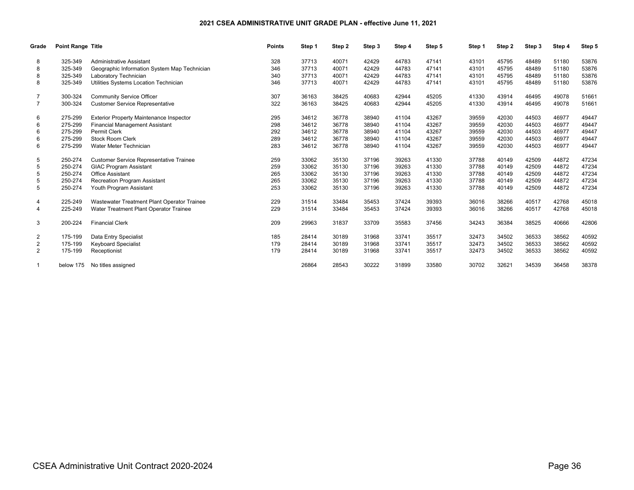#### **2021 CSEA ADMINISTRATIVE UNIT GRADE PLAN - effective June 11, 2021**

| Grade          | <b>Point Range Title</b> |                                                | <b>Points</b> | Step 1 | Step 2 | Step 3 | Step 4 | Step 5 | Step 1 | Step 2 | Step 3 | Step 4 | Step 5 |
|----------------|--------------------------|------------------------------------------------|---------------|--------|--------|--------|--------|--------|--------|--------|--------|--------|--------|
| 8              | 325-349                  | <b>Administrative Assistant</b>                | 328           | 37713  | 40071  | 42429  | 44783  | 47141  | 43101  | 45795  | 48489  | 51180  | 53876  |
|                | 325-349                  | Geographic Information System Map Technician   | 346           | 37713  | 40071  | 42429  | 44783  | 47141  | 43101  | 45795  | 48489  | 51180  | 53876  |
| 8              | 325-349                  | Laboratory Technician                          | 340           | 37713  | 40071  | 42429  | 44783  | 47141  | 43101  | 45795  | 48489  | 51180  | 53876  |
| 8              | 325-349                  | Utilities Systems Location Technician          | 346           | 37713  | 40071  | 42429  | 44783  | 47141  | 43101  | 45795  | 48489  | 51180  | 53876  |
|                | 300-324                  | <b>Community Service Officer</b>               | 307           | 36163  | 38425  | 40683  | 42944  | 45205  | 41330  | 43914  | 46495  | 49078  | 51661  |
| $\overline{7}$ | 300-324                  | <b>Customer Service Representative</b>         | 322           | 36163  | 38425  | 40683  | 42944  | 45205  | 41330  | 43914  | 46495  | 49078  | 51661  |
| 6              | 275-299                  | <b>Exterior Property Maintenance Inspector</b> | 295           | 34612  | 36778  | 38940  | 41104  | 43267  | 39559  | 42030  | 44503  | 46977  | 49447  |
| 6              | 275-299                  | <b>Financial Management Assistant</b>          | 298           | 34612  | 36778  | 38940  | 41104  | 43267  | 39559  | 42030  | 44503  | 46977  | 49447  |
| 6              | 275-299                  | <b>Permit Clerk</b>                            | 292           | 34612  | 36778  | 38940  | 41104  | 43267  | 39559  | 42030  | 44503  | 46977  | 49447  |
| 6              | 275-299                  | Stock Room Clerk                               | 289           | 34612  | 36778  | 38940  | 41104  | 43267  | 39559  | 42030  | 44503  | 46977  | 49447  |
| 6              | 275-299                  | Water Meter Technician                         | 283           | 34612  | 36778  | 38940  | 41104  | 43267  | 39559  | 42030  | 44503  | 46977  | 49447  |
| 5              | 250-274                  | <b>Customer Service Representative Trainee</b> | 259           | 33062  | 35130  | 37196  | 39263  | 41330  | 37788  | 40149  | 42509  | 44872  | 47234  |
|                | 250-274                  | <b>GIAC Program Assistant</b>                  | 259           | 33062  | 35130  | 37196  | 39263  | 41330  | 37788  | 40149  | 42509  | 44872  | 47234  |
| 5              | 250-274                  | <b>Office Assistant</b>                        | 265           | 33062  | 35130  | 37196  | 39263  | 41330  | 37788  | 40149  | 42509  | 44872  | 47234  |
| 5              | 250-274                  | <b>Recreation Program Assistant</b>            | 265           | 33062  | 35130  | 37196  | 39263  | 41330  | 37788  | 40149  | 42509  | 44872  | 47234  |
| 5              | 250-274                  | Youth Program Assistant                        | 253           | 33062  | 35130  | 37196  | 39263  | 41330  | 37788  | 40149  | 42509  | 44872  | 47234  |
| 4              | 225-249                  | Wastewater Treatment Plant Operator Trainee    | 229           | 31514  | 33484  | 35453  | 37424  | 39393  | 36016  | 38266  | 40517  | 42768  | 45018  |
| 4              | 225-249                  | Water Treatment Plant Operator Trainee         | 229           | 31514  | 33484  | 35453  | 37424  | 39393  | 36016  | 38266  | 40517  | 42768  | 45018  |
| 3              | 200-224                  | <b>Financial Clerk</b>                         | 209           | 29963  | 31837  | 33709  | 35583  | 37456  | 34243  | 36384  | 38525  | 40666  | 42806  |
| 2              | 175-199                  | Data Entry Specialist                          | 185           | 28414  | 30189  | 31968  | 33741  | 35517  | 32473  | 34502  | 36533  | 38562  | 40592  |
| 2              | 175-199                  | <b>Keyboard Specialist</b>                     | 179           | 28414  | 30189  | 31968  | 33741  | 35517  | 32473  | 34502  | 36533  | 38562  | 40592  |
| 2              | 175-199                  | Receptionist                                   | 179           | 28414  | 30189  | 31968  | 33741  | 35517  | 32473  | 34502  | 36533  | 38562  | 40592  |
|                | below 175                | No titles assigned                             |               | 26864  | 28543  | 30222  | 31899  | 33580  | 30702  | 32621  | 34539  | 36458  | 38378  |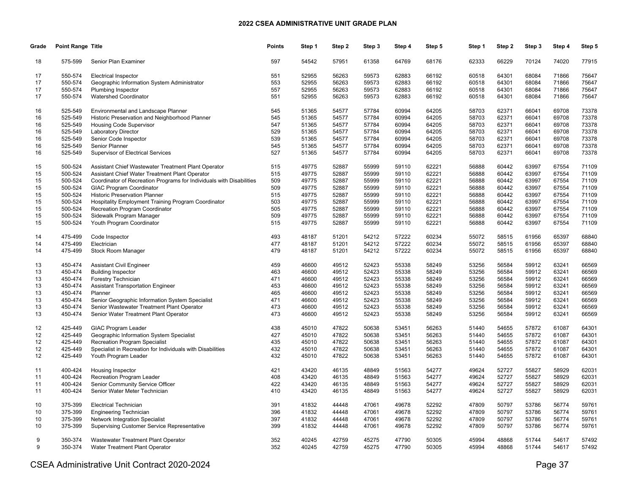| Grade | Point Range Title |                                                                      | Points | Step 1 | Step 2 | Step 3 | Step 4 | Step 5 | Step 1 | Step 2 | Step 3 | Step 4 | Step 5 |
|-------|-------------------|----------------------------------------------------------------------|--------|--------|--------|--------|--------|--------|--------|--------|--------|--------|--------|
| 18    | 575-599           | Senior Plan Examiner                                                 | 597    | 54542  | 57951  | 61358  | 64769  | 68176  | 62333  | 66229  | 70124  | 74020  | 77915  |
| 17    | 550-574           | <b>Electrical Inspector</b>                                          | 551    | 52955  | 56263  | 59573  | 62883  | 66192  | 60518  | 64301  | 68084  | 71866  | 75647  |
| 17    | 550-574           | Geographic Information System Administrator                          | 553    | 52955  | 56263  | 59573  | 62883  | 66192  | 60518  | 64301  | 68084  | 71866  | 75647  |
| 17    | 550-574           | Plumbing Inspector                                                   | 557    | 52955  | 56263  | 59573  | 62883  | 66192  | 60518  | 64301  | 68084  | 71866  | 75647  |
| 17    | 550-574           | <b>Watershed Coordinator</b>                                         | 551    | 52955  | 56263  | 59573  | 62883  | 66192  | 60518  | 64301  | 68084  | 71866  | 75647  |
|       |                   |                                                                      |        |        |        |        |        |        |        |        |        |        |        |
| 16    | 525-549           | Environmental and Landscape Planner                                  | 545    | 51365  | 54577  | 57784  | 60994  | 64205  | 58703  | 62371  | 66041  | 69708  | 73378  |
| 16    | 525-549           | Historic Preservation and Neighborhood Planner                       | 545    | 51365  | 54577  | 57784  | 60994  | 64205  | 58703  | 62371  | 66041  | 69708  | 73378  |
| 16    | 525-549           | Housing Code Supervisor                                              | 547    | 51365  | 54577  | 57784  | 60994  | 64205  | 58703  | 62371  | 66041  | 69708  | 73378  |
| 16    | 525-549           | <b>Laboratory Director</b>                                           | 529    | 51365  | 54577  | 57784  | 60994  | 64205  | 58703  | 62371  | 66041  | 69708  | 73378  |
| 16    | 525-549           | Senior Code Inspector                                                | 539    | 51365  | 54577  | 57784  | 60994  | 64205  | 58703  | 62371  | 66041  | 69708  | 73378  |
| 16    | 525-549           | Senior Planner                                                       | 545    | 51365  | 54577  | 57784  | 60994  | 64205  | 58703  | 62371  | 66041  | 69708  | 73378  |
| 16    | 525-549           | <b>Supervisor of Electrical Services</b>                             | 527    | 51365  | 54577  | 57784  | 60994  | 64205  | 58703  | 62371  | 66041  | 69708  | 73378  |
| 15    | 500-524           | Assistant Chief Wastewater Treatment Plant Operator                  | 515    | 49775  | 52887  | 55999  | 59110  | 62221  | 56888  | 60442  | 63997  | 67554  | 71109  |
| 15    | 500-524           | Assistant Chief Water Treatment Plant Operator                       | 515    | 49775  | 52887  | 55999  | 59110  | 62221  | 56888  | 60442  | 63997  | 67554  | 71109  |
| 15    | 500-524           | Coordinator of Recreation Programs for Individuals with Disabilities | 509    | 49775  | 52887  | 55999  | 59110  | 62221  | 56888  | 60442  | 63997  | 67554  | 71109  |
| 15    | 500-524           | <b>GIAC Program Coordinator</b>                                      | 509    | 49775  | 52887  | 55999  | 59110  | 62221  | 56888  | 60442  | 63997  | 67554  | 71109  |
| 15    | 500-524           | <b>Historic Preservation Planner</b>                                 | 515    | 49775  | 52887  | 55999  | 59110  | 62221  | 56888  | 60442  | 63997  | 67554  | 71109  |
|       |                   |                                                                      |        |        |        |        |        |        |        |        |        |        | 71109  |
| 15    | 500-524           | Hospitality Employment Training Program Coordinator                  | 503    | 49775  | 52887  | 55999  | 59110  | 62221  | 56888  | 60442  | 63997  | 67554  |        |
| 15    | 500-524           | Recreation Program Coordinator                                       | 505    | 49775  | 52887  | 55999  | 59110  | 62221  | 56888  | 60442  | 63997  | 67554  | 71109  |
| 15    | 500-524           | Sidewalk Program Manager                                             | 509    | 49775  | 52887  | 55999  | 59110  | 62221  | 56888  | 60442  | 63997  | 67554  | 71109  |
| 15    | 500-524           | Youth Program Coordinator                                            | 515    | 49775  | 52887  | 55999  | 59110  | 62221  | 56888  | 60442  | 63997  | 67554  | 71109  |
| 14    | 475-499           | Code Inspector                                                       | 493    | 48187  | 51201  | 54212  | 57222  | 60234  | 55072  | 58515  | 61956  | 65397  | 68840  |
| 14    | 475-499           | Electrician                                                          | 477    | 48187  | 51201  | 54212  | 57222  | 60234  | 55072  | 58515  | 61956  | 65397  | 68840  |
| 14    | 475-499           | Stock Room Manager                                                   | 479    | 48187  | 51201  | 54212  | 57222  | 60234  | 55072  | 58515  | 61956  | 65397  | 68840  |
| 13    | 450-474           | <b>Assistant Civil Engineer</b>                                      | 459    | 46600  | 49512  | 52423  | 55338  | 58249  | 53256  | 56584  | 59912  | 63241  | 66569  |
| 13    | 450-474           | <b>Building Inspector</b>                                            | 463    | 46600  | 49512  | 52423  | 55338  | 58249  | 53256  | 56584  | 59912  | 63241  | 66569  |
| 13    | 450-474           | Forestry Technician                                                  | 471    | 46600  | 49512  | 52423  | 55338  | 58249  | 53256  | 56584  | 59912  | 63241  | 66569  |
| 13    | 450-474           | <b>Assistant Transportation Engineer</b>                             | 453    | 46600  | 49512  | 52423  | 55338  | 58249  | 53256  | 56584  | 59912  | 63241  | 66569  |
| 13    | 450-474           | Planner                                                              | 465    | 46600  | 49512  | 52423  | 55338  | 58249  | 53256  | 56584  | 59912  | 63241  | 66569  |
| 13    | 450-474           | Senior Geographic Information System Specialist                      | 471    | 46600  | 49512  | 52423  | 55338  | 58249  | 53256  | 56584  | 59912  | 63241  | 66569  |
| 13    | 450-474           | Senior Wastewater Treatment Plant Operator                           | 473    | 46600  | 49512  | 52423  | 55338  | 58249  | 53256  | 56584  | 59912  | 63241  | 66569  |
|       |                   |                                                                      | 473    |        |        |        |        |        |        |        |        |        |        |
| 13    | 450-474           | Senior Water Treatment Plant Operator                                |        | 46600  | 49512  | 52423  | 55338  | 58249  | 53256  | 56584  | 59912  | 63241  | 66569  |
| 12    | 425-449           | <b>GIAC Program Leader</b>                                           | 438    | 45010  | 47822  | 50638  | 53451  | 56263  | 51440  | 54655  | 57872  | 61087  | 64301  |
| 12    | 425-449           | Geographic Information System Specialist                             | 427    | 45010  | 47822  | 50638  | 53451  | 56263  | 51440  | 54655  | 57872  | 61087  | 64301  |
| 12    | 425-449           | <b>Recreation Program Specialist</b>                                 | 435    | 45010  | 47822  | 50638  | 53451  | 56263  | 51440  | 54655  | 57872  | 61087  | 64301  |
| 12    | 425-449           | Specialist in Recreation for Individuals with Disabilities           | 432    | 45010  | 47822  | 50638  | 53451  | 56263  | 51440  | 54655  | 57872  | 61087  | 64301  |
| 12    | 425-449           | Youth Program Leader                                                 | 432    | 45010  | 47822  | 50638  | 53451  | 56263  | 51440  | 54655  | 57872  | 61087  | 64301  |
| 11    | 400-424           | <b>Housing Inspector</b>                                             | 421    | 43420  | 46135  | 48849  | 51563  | 54277  | 49624  | 52727  | 55827  | 58929  | 62031  |
| 11    | 400-424           | Recreation Program Leader                                            | 408    | 43420  | 46135  | 48849  | 51563  | 54277  | 49624  | 52727  | 55827  | 58929  | 62031  |
| 11    | 400-424           | Senior Community Service Officer                                     | 422    | 43420  | 46135  | 48849  | 51563  | 54277  | 49624  | 52727  | 55827  | 58929  | 62031  |
| 11    | 400-424           | Senior Water Meter Technician                                        | 410    | 43420  | 46135  | 48849  | 51563  | 54277  | 49624  | 52727  | 55827  | 58929  | 62031  |
|       |                   |                                                                      |        |        |        |        |        |        |        |        |        |        |        |
| 10    | 375-399           | <b>Electrical Technician</b>                                         | 391    | 41832  | 44448  | 47061  | 49678  | 52292  | 47809  | 50797  | 53786  | 56774  | 59761  |
| 10    | 375-399           | <b>Engineering Technician</b>                                        | 396    | 41832  | 44448  | 47061  | 49678  | 52292  | 47809  | 50797  | 53786  | 56774  | 59761  |
| 10    | 375-399           | <b>Network Integration Specialist</b>                                | 397    | 41832  | 44448  | 47061  | 49678  | 52292  | 47809  | 50797  | 53786  | 56774  | 59761  |
| 10    | 375-399           | <b>Supervising Customer Service Representative</b>                   | 399    | 41832  | 44448  | 47061  | 49678  | 52292  | 47809  | 50797  | 53786  | 56774  | 59761  |
| 9     | 350-374           | Wastewater Treatment Plant Operator                                  | 352    | 40245  | 42759  | 45275  | 47790  | 50305  | 45994  | 48868  | 51744  | 54617  | 57492  |
| 9     | 350-374           | Water Treatment Plant Operator                                       | 352    | 40245  | 42759  | 45275  | 47790  | 50305  | 45994  | 48868  | 51744  | 54617  | 57492  |
|       |                   |                                                                      |        |        |        |        |        |        |        |        |        |        |        |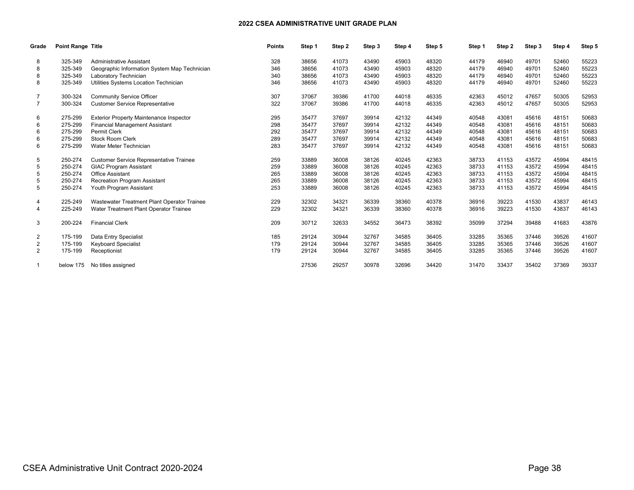| Grade          | <b>Point Range Title</b> |                                                | <b>Points</b> | Step 1 | Step 2 | Step 3 | Step 4 | Step 5 | Step 1 | Step 2 | Step 3 | Step 4 | Step 5 |
|----------------|--------------------------|------------------------------------------------|---------------|--------|--------|--------|--------|--------|--------|--------|--------|--------|--------|
| 8              | 325-349                  | <b>Administrative Assistant</b>                | 328           | 38656  | 41073  | 43490  | 45903  | 48320  | 44179  | 46940  | 49701  | 52460  | 55223  |
|                | 325-349                  | Geographic Information System Map Technician   | 346           | 38656  | 41073  | 43490  | 45903  | 48320  | 44179  | 46940  | 49701  | 52460  | 55223  |
| 8              | 325-349                  | Laboratory Technician                          | 340           | 38656  | 41073  | 43490  | 45903  | 48320  | 44179  | 46940  | 49701  | 52460  | 55223  |
| 8              | 325-349                  | Utilities Systems Location Technician          | 346           | 38656  | 41073  | 43490  | 45903  | 48320  | 44179  | 46940  | 49701  | 52460  | 55223  |
|                | 300-324                  | <b>Community Service Officer</b>               | 307           | 37067  | 39386  | 41700  | 44018  | 46335  | 42363  | 45012  | 47657  | 50305  | 52953  |
| $\overline{7}$ | 300-324                  | <b>Customer Service Representative</b>         | 322           | 37067  | 39386  | 41700  | 44018  | 46335  | 42363  | 45012  | 47657  | 50305  | 52953  |
| 6              | 275-299                  | <b>Exterior Property Maintenance Inspector</b> | 295           | 35477  | 37697  | 39914  | 42132  | 44349  | 40548  | 43081  | 45616  | 48151  | 50683  |
| 6              | 275-299                  | <b>Financial Management Assistant</b>          | 298           | 35477  | 37697  | 39914  | 42132  | 44349  | 40548  | 43081  | 45616  | 48151  | 50683  |
| 6              | 275-299                  | <b>Permit Clerk</b>                            | 292           | 35477  | 37697  | 39914  | 42132  | 44349  | 40548  | 43081  | 45616  | 48151  | 50683  |
| 6              | 275-299                  | Stock Room Clerk                               | 289           | 35477  | 37697  | 39914  | 42132  | 44349  | 40548  | 43081  | 45616  | 48151  | 50683  |
| 6              | 275-299                  | Water Meter Technician                         | 283           | 35477  | 37697  | 39914  | 42132  | 44349  | 40548  | 43081  | 45616  | 48151  | 50683  |
| 5              | 250-274                  | <b>Customer Service Representative Trainee</b> | 259           | 33889  | 36008  | 38126  | 40245  | 42363  | 38733  | 41153  | 43572  | 45994  | 48415  |
|                | 250-274                  | <b>GIAC Program Assistant</b>                  | 259           | 33889  | 36008  | 38126  | 40245  | 42363  | 38733  | 41153  | 43572  | 45994  | 48415  |
| 5              | 250-274                  | <b>Office Assistant</b>                        | 265           | 33889  | 36008  | 38126  | 40245  | 42363  | 38733  | 41153  | 43572  | 45994  | 48415  |
| 5              | 250-274                  | <b>Recreation Program Assistant</b>            | 265           | 33889  | 36008  | 38126  | 40245  | 42363  | 38733  | 41153  | 43572  | 45994  | 48415  |
| 5              | 250-274                  | Youth Program Assistant                        | 253           | 33889  | 36008  | 38126  | 40245  | 42363  | 38733  | 41153  | 43572  | 45994  | 48415  |
| 4              | 225-249                  | Wastewater Treatment Plant Operator Trainee    | 229           | 32302  | 34321  | 36339  | 38360  | 40378  | 36916  | 39223  | 41530  | 43837  | 46143  |
| 4              | 225-249                  | Water Treatment Plant Operator Trainee         | 229           | 32302  | 34321  | 36339  | 38360  | 40378  | 36916  | 39223  | 41530  | 43837  | 46143  |
| 3              | 200-224                  | <b>Financial Clerk</b>                         | 209           | 30712  | 32633  | 34552  | 36473  | 38392  | 35099  | 37294  | 39488  | 41683  | 43876  |
| 2              | 175-199                  | Data Entry Specialist                          | 185           | 29124  | 30944  | 32767  | 34585  | 36405  | 33285  | 35365  | 37446  | 39526  | 41607  |
| 2              | 175-199                  | <b>Keyboard Specialist</b>                     | 179           | 29124  | 30944  | 32767  | 34585  | 36405  | 33285  | 35365  | 37446  | 39526  | 41607  |
| 2              | 175-199                  | Receptionist                                   | 179           | 29124  | 30944  | 32767  | 34585  | 36405  | 33285  | 35365  | 37446  | 39526  | 41607  |
|                | below 175                | No titles assigned                             |               | 27536  | 29257  | 30978  | 32696  | 34420  | 31470  | 33437  | 35402  | 37369  | 39337  |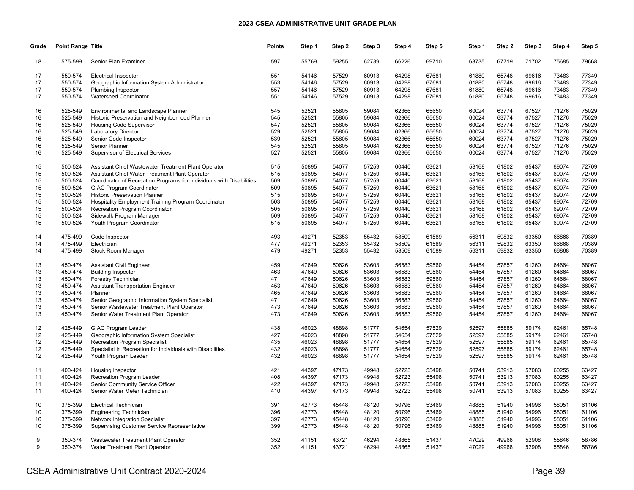| Grade | <b>Point Range Title</b> |                                                                      | <b>Points</b> | Step 1 | Step 2 | Step 3 | Step 4 | Step 5 | Step 1 | Step 2 | Step 3 | Step 4 | Step 5 |
|-------|--------------------------|----------------------------------------------------------------------|---------------|--------|--------|--------|--------|--------|--------|--------|--------|--------|--------|
| 18    | 575-599                  | Senior Plan Examiner                                                 | 597           | 55769  | 59255  | 62739  | 66226  | 69710  | 63735  | 67719  | 71702  | 75685  | 79668  |
| 17    | 550-574                  | <b>Electrical Inspector</b>                                          | 551           | 54146  | 57529  | 60913  | 64298  | 67681  | 61880  | 65748  | 69616  | 73483  | 77349  |
| 17    | 550-574                  | Geographic Information System Administrator                          | 553           | 54146  | 57529  | 60913  | 64298  | 67681  | 61880  | 65748  | 69616  | 73483  | 77349  |
| 17    | 550-574                  | <b>Plumbing Inspector</b>                                            | 557           | 54146  | 57529  | 60913  | 64298  | 67681  | 61880  | 65748  | 69616  | 73483  | 77349  |
| 17    | 550-574                  | Watershed Coordinator                                                | 551           | 54146  | 57529  | 60913  | 64298  | 67681  | 61880  | 65748  | 69616  | 73483  | 77349  |
|       |                          |                                                                      |               |        |        |        |        |        |        |        |        |        |        |
| 16    | 525-549                  | Environmental and Landscape Planner                                  | 545           | 52521  | 55805  | 59084  | 62366  | 65650  | 60024  | 63774  | 67527  | 71276  | 75029  |
| 16    | 525-549                  | Historic Preservation and Neighborhood Planner                       | 545           | 52521  | 55805  | 59084  | 62366  | 65650  | 60024  | 63774  | 67527  | 71276  | 75029  |
| 16    | 525-549                  | <b>Housing Code Supervisor</b>                                       | 547           | 52521  | 55805  | 59084  | 62366  | 65650  | 60024  | 63774  | 67527  | 71276  | 75029  |
| 16    | 525-549                  | <b>Laboratory Director</b>                                           | 529           | 52521  | 55805  | 59084  | 62366  | 65650  | 60024  | 63774  | 67527  | 71276  | 75029  |
| 16    | 525-549                  | Senior Code Inspector                                                | 539           | 52521  | 55805  | 59084  | 62366  | 65650  | 60024  | 63774  | 67527  | 71276  | 75029  |
| 16    | 525-549                  | <b>Senior Planner</b>                                                | 545           | 52521  | 55805  | 59084  | 62366  | 65650  | 60024  | 63774  | 67527  | 71276  | 75029  |
| 16    | 525-549                  | Supervisor of Electrical Services                                    | 527           | 52521  | 55805  | 59084  | 62366  | 65650  | 60024  | 63774  | 67527  | 71276  | 75029  |
| 15    | 500-524                  | Assistant Chief Wastewater Treatment Plant Operator                  | 515           | 50895  | 54077  | 57259  | 60440  | 63621  | 58168  | 61802  | 65437  | 69074  | 72709  |
| 15    | 500-524                  | Assistant Chief Water Treatment Plant Operator                       | 515           | 50895  | 54077  | 57259  | 60440  | 63621  | 58168  | 61802  | 65437  | 69074  | 72709  |
| 15    | 500-524                  | Coordinator of Recreation Programs for Individuals with Disabilities | 509           | 50895  | 54077  | 57259  | 60440  | 63621  | 58168  | 61802  | 65437  | 69074  | 72709  |
| 15    | 500-524                  | <b>GIAC Program Coordinator</b>                                      | 509           | 50895  | 54077  | 57259  | 60440  | 63621  | 58168  | 61802  | 65437  | 69074  | 72709  |
| 15    | 500-524                  | <b>Historic Preservation Planner</b>                                 | 515           | 50895  | 54077  | 57259  | 60440  | 63621  | 58168  | 61802  | 65437  | 69074  | 72709  |
| 15    | 500-524                  | Hospitality Employment Training Program Coordinator                  | 503           | 50895  | 54077  | 57259  | 60440  | 63621  | 58168  | 61802  | 65437  | 69074  | 72709  |
| 15    | 500-524                  | Recreation Program Coordinator                                       | 505           | 50895  | 54077  | 57259  | 60440  | 63621  | 58168  | 61802  | 65437  | 69074  | 72709  |
| 15    | 500-524                  | Sidewalk Program Manager                                             | 509           | 50895  | 54077  | 57259  | 60440  | 63621  | 58168  | 61802  | 65437  | 69074  | 72709  |
| 15    | 500-524                  | Youth Program Coordinator                                            | 515           | 50895  | 54077  | 57259  | 60440  | 63621  | 58168  | 61802  | 65437  | 69074  | 72709  |
|       |                          |                                                                      |               |        |        |        |        |        |        |        |        |        |        |
| 14    | 475-499                  | Code Inspector                                                       | 493           | 49271  | 52353  | 55432  | 58509  | 61589  | 56311  | 59832  | 63350  | 66868  | 70389  |
| 14    | 475-499                  | Electrician                                                          | 477           | 49271  | 52353  | 55432  | 58509  | 61589  | 56311  | 59832  | 63350  | 66868  | 70389  |
| 14    | 475-499                  | Stock Room Manager                                                   | 479           | 49271  | 52353  | 55432  | 58509  | 61589  | 56311  | 59832  | 63350  | 66868  | 70389  |
| 13    | 450-474                  | <b>Assistant Civil Engineer</b>                                      | 459           | 47649  | 50626  | 53603  | 56583  | 59560  | 54454  | 57857  | 61260  | 64664  | 68067  |
| 13    | 450-474                  | <b>Building Inspector</b>                                            | 463           | 47649  | 50626  | 53603  | 56583  | 59560  | 54454  | 57857  | 61260  | 64664  | 68067  |
| 13    | 450-474                  | Forestry Technician                                                  | 471           | 47649  | 50626  | 53603  | 56583  | 59560  | 54454  | 57857  | 61260  | 64664  | 68067  |
| 13    | 450-474                  | <b>Assistant Transportation Engineer</b>                             | 453           | 47649  | 50626  | 53603  | 56583  | 59560  | 54454  | 57857  | 61260  | 64664  | 68067  |
| 13    | 450-474                  | Planner                                                              | 465           | 47649  | 50626  | 53603  | 56583  | 59560  | 54454  | 57857  | 61260  | 64664  | 68067  |
| 13    | 450-474                  | Senior Geographic Information System Specialist                      | 471           | 47649  | 50626  | 53603  | 56583  | 59560  | 54454  | 57857  | 61260  | 64664  | 68067  |
| 13    | 450-474                  | Senior Wastewater Treatment Plant Operator                           | 473           | 47649  | 50626  | 53603  | 56583  | 59560  | 54454  | 57857  | 61260  | 64664  | 68067  |
| 13    | 450-474                  | Senior Water Treatment Plant Operator                                | 473           | 47649  | 50626  | 53603  | 56583  | 59560  | 54454  | 57857  | 61260  | 64664  | 68067  |
|       |                          |                                                                      |               |        |        |        |        |        |        |        |        |        |        |
| 12    | 425-449                  | <b>GIAC Program Leader</b>                                           | 438           | 46023  | 48898  | 51777  | 54654  | 57529  | 52597  | 55885  | 59174  | 62461  | 65748  |
| 12    | 425-449                  | Geographic Information System Specialist                             | 427           | 46023  | 48898  | 51777  | 54654  | 57529  | 52597  | 55885  | 59174  | 62461  | 65748  |
| 12    | 425-449                  | <b>Recreation Program Specialist</b>                                 | 435           | 46023  | 48898  | 51777  | 54654  | 57529  | 52597  | 55885  | 59174  | 62461  | 65748  |
| 12    | 425-449                  | Specialist in Recreation for Individuals with Disabilities           | 432           | 46023  | 48898  | 51777  | 54654  | 57529  | 52597  | 55885  | 59174  | 62461  | 65748  |
| 12    | 425-449                  | Youth Program Leader                                                 | 432           | 46023  | 48898  | 51777  | 54654  | 57529  | 52597  | 55885  | 59174  | 62461  | 65748  |
| 11    | 400-424                  | <b>Housing Inspector</b>                                             | 421           | 44397  | 47173  | 49948  | 52723  | 55498  | 50741  | 53913  | 57083  | 60255  | 63427  |
| 11    | 400-424                  | Recreation Program Leader                                            | 408           | 44397  | 47173  | 49948  | 52723  | 55498  | 50741  | 53913  | 57083  | 60255  | 63427  |
| 11    | 400-424                  | Senior Community Service Officer                                     | 422           | 44397  | 47173  | 49948  | 52723  | 55498  | 50741  | 53913  | 57083  | 60255  | 63427  |
| 11    | 400-424                  | Senior Water Meter Technician                                        | 410           | 44397  | 47173  | 49948  | 52723  | 55498  | 50741  | 53913  | 57083  | 60255  | 63427  |
|       |                          |                                                                      |               |        |        |        |        |        |        |        |        |        |        |
| 10    | 375-399                  | <b>Electrical Technician</b>                                         | 391           | 42773  | 45448  | 48120  | 50796  | 53469  | 48885  | 51940  | 54996  | 58051  | 61106  |
| 10    | 375-399                  | <b>Engineering Technician</b>                                        | 396           | 42773  | 45448  | 48120  | 50796  | 53469  | 48885  | 51940  | 54996  | 58051  | 61106  |
| 10    | 375-399                  | Network Integration Specialist                                       | 397           | 42773  | 45448  | 48120  | 50796  | 53469  | 48885  | 51940  | 54996  | 58051  | 61106  |
| 10    | 375-399                  | Supervising Customer Service Representative                          | 399           | 42773  | 45448  | 48120  | 50796  | 53469  | 48885  | 51940  | 54996  | 58051  | 61106  |
| 9     | 350-374                  | Wastewater Treatment Plant Operator                                  | 352           | 41151  | 43721  | 46294  | 48865  | 51437  | 47029  | 49968  | 52908  | 55846  | 58786  |
| 9     | 350-374                  | Water Treatment Plant Operator                                       | 352           | 41151  | 43721  | 46294  | 48865  | 51437  | 47029  | 49968  | 52908  | 55846  | 58786  |
|       |                          |                                                                      |               |        |        |        |        |        |        |        |        |        |        |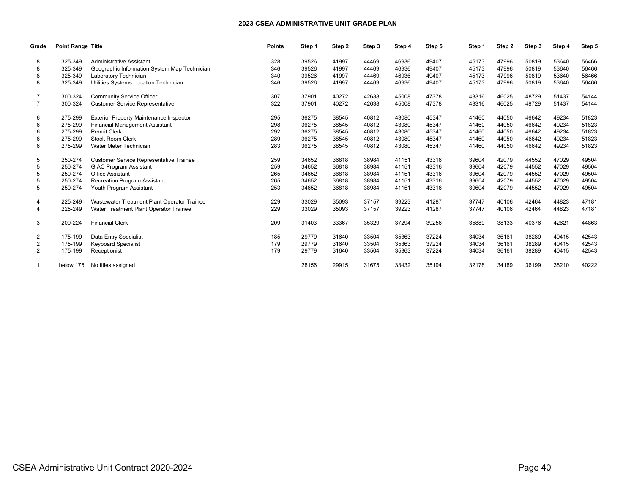| Grade          | <b>Point Range Title</b> |                                                | <b>Points</b> | Step 1 | Step 2 | Step 3 | Step 4 | Step 5 | Step 1 | Step 2 | Step 3 | Step 4 | Step 5 |
|----------------|--------------------------|------------------------------------------------|---------------|--------|--------|--------|--------|--------|--------|--------|--------|--------|--------|
| 8              | 325-349                  | <b>Administrative Assistant</b>                | 328           | 39526  | 41997  | 44469  | 46936  | 49407  | 45173  | 47996  | 50819  | 53640  | 56466  |
|                | 325-349                  | Geographic Information System Map Technician   | 346           | 39526  | 41997  | 44469  | 46936  | 49407  | 45173  | 47996  | 50819  | 53640  | 56466  |
| 8              | 325-349                  | Laboratory Technician                          | 340           | 39526  | 41997  | 44469  | 46936  | 49407  | 45173  | 47996  | 50819  | 53640  | 56466  |
| 8              | 325-349                  | Utilities Systems Location Technician          | 346           | 39526  | 41997  | 44469  | 46936  | 49407  | 45173  | 47996  | 50819  | 53640  | 56466  |
|                | 300-324                  | <b>Community Service Officer</b>               | 307           | 37901  | 40272  | 42638  | 45008  | 47378  | 43316  | 46025  | 48729  | 51437  | 54144  |
| $\overline{7}$ | 300-324                  | <b>Customer Service Representative</b>         | 322           | 37901  | 40272  | 42638  | 45008  | 47378  | 43316  | 46025  | 48729  | 51437  | 54144  |
| 6              | 275-299                  | <b>Exterior Property Maintenance Inspector</b> | 295           | 36275  | 38545  | 40812  | 43080  | 45347  | 41460  | 44050  | 46642  | 49234  | 51823  |
| 6              | 275-299                  | <b>Financial Management Assistant</b>          | 298           | 36275  | 38545  | 40812  | 43080  | 45347  | 41460  | 44050  | 46642  | 49234  | 51823  |
| 6              | 275-299                  | <b>Permit Clerk</b>                            | 292           | 36275  | 38545  | 40812  | 43080  | 45347  | 41460  | 44050  | 46642  | 49234  | 51823  |
| 6              | 275-299                  | <b>Stock Room Clerk</b>                        | 289           | 36275  | 38545  | 40812  | 43080  | 45347  | 41460  | 44050  | 46642  | 49234  | 51823  |
| 6              | 275-299                  | Water Meter Technician                         | 283           | 36275  | 38545  | 40812  | 43080  | 45347  | 41460  | 44050  | 46642  | 49234  | 51823  |
|                | 250-274                  | <b>Customer Service Representative Trainee</b> | 259           | 34652  | 36818  | 38984  | 41151  | 43316  | 39604  | 42079  | 44552  | 47029  | 49504  |
| 5              | 250-274                  | <b>GIAC Program Assistant</b>                  | 259           | 34652  | 36818  | 38984  | 41151  | 43316  | 39604  | 42079  | 44552  | 47029  | 49504  |
| 5              | 250-274                  | <b>Office Assistant</b>                        | 265           | 34652  | 36818  | 38984  | 41151  | 43316  | 39604  | 42079  | 44552  | 47029  | 49504  |
| 5              | 250-274                  | <b>Recreation Program Assistant</b>            | 265           | 34652  | 36818  | 38984  | 41151  | 43316  | 39604  | 42079  | 44552  | 47029  | 49504  |
| 5              | 250-274                  | Youth Program Assistant                        | 253           | 34652  | 36818  | 38984  | 41151  | 43316  | 39604  | 42079  | 44552  | 47029  | 49504  |
| 4              | 225-249                  | Wastewater Treatment Plant Operator Trainee    | 229           | 33029  | 35093  | 37157  | 39223  | 41287  | 37747  | 40106  | 42464  | 44823  | 47181  |
|                | 225-249                  | Water Treatment Plant Operator Trainee         | 229           | 33029  | 35093  | 37157  | 39223  | 41287  | 37747  | 40106  | 42464  | 44823  | 47181  |
| 3              | 200-224                  | <b>Financial Clerk</b>                         | 209           | 31403  | 33367  | 35329  | 37294  | 39256  | 35889  | 38133  | 40376  | 42621  | 44863  |
| 2              | 175-199                  | Data Entry Specialist                          | 185           | 29779  | 31640  | 33504  | 35363  | 37224  | 34034  | 36161  | 38289  | 40415  | 42543  |
| 2              | 175-199                  | <b>Keyboard Specialist</b>                     | 179           | 29779  | 31640  | 33504  | 35363  | 37224  | 34034  | 36161  | 38289  | 40415  | 42543  |
| $\overline{2}$ | 175-199                  | Receptionist                                   | 179           | 29779  | 31640  | 33504  | 35363  | 37224  | 34034  | 36161  | 38289  | 40415  | 42543  |
|                | below 175                | No titles assigned                             |               | 28156  | 29915  | 31675  | 33432  | 35194  | 32178  | 34189  | 36199  | 38210  | 40222  |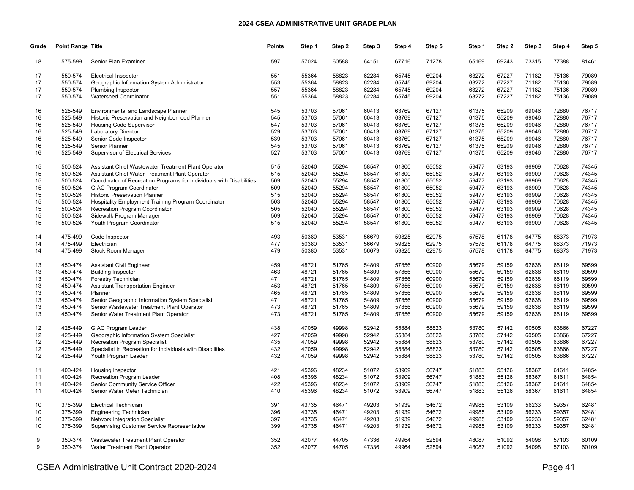| Grade    | Point Range Title  |                                                                      | <b>Points</b> | Step 1         | Step 2         | Step 3         | Step 4         | Step 5         | Step 1         | Step 2         | Step 3         | Step 4         | Step 5         |
|----------|--------------------|----------------------------------------------------------------------|---------------|----------------|----------------|----------------|----------------|----------------|----------------|----------------|----------------|----------------|----------------|
| 18       | 575-599            | Senior Plan Examiner                                                 | 597           | 57024          | 60588          | 64151          | 67716          | 71278          | 65169          | 69243          | 73315          | 77388          | 81461          |
| 17       | 550-574            | <b>Electrical Inspector</b>                                          | 551           | 55364          | 58823          | 62284          | 65745          | 69204          | 63272          | 67227          | 71182          | 75136          | 79089          |
| 17       | 550-574            | Geographic Information System Administrator                          | 553           | 55364          | 58823          | 62284          | 65745          | 69204          | 63272          | 67227          | 71182          | 75136          | 79089          |
| 17       | 550-574            | Plumbing Inspector                                                   | 557           | 55364          | 58823          | 62284          | 65745          | 69204          | 63272          | 67227          | 71182          | 75136          | 79089          |
| 17       | 550-574            | <b>Watershed Coordinator</b>                                         | 551           | 55364          | 58823          | 62284          | 65745          | 69204          | 63272          | 67227          | 71182          | 75136          | 79089          |
| 16       | 525-549            | Environmental and Landscape Planner                                  | 545           | 53703          | 57061          | 60413          | 63769          | 67127          | 61375          | 65209          | 69046          | 72880          | 76717          |
| 16       | 525-549            | Historic Preservation and Neighborhood Planner                       | 545           | 53703          | 57061          | 60413          | 63769          | 67127          | 61375          | 65209          | 69046          | 72880          | 76717          |
| 16       | 525-549            | Housing Code Supervisor                                              | 547           | 53703          | 57061          | 60413          | 63769          | 67127          | 61375          | 65209          | 69046          | 72880          | 76717          |
| 16       | 525-549            | Laboratory Director                                                  | 529           | 53703          | 57061          | 60413          | 63769          | 67127          | 61375          | 65209          | 69046          | 72880          | 76717          |
| 16       | 525-549            | Senior Code Inspector                                                | 539           | 53703          | 57061          | 60413          | 63769          | 67127          | 61375          | 65209          | 69046          | 72880          | 76717          |
|          | 525-549            | Senior Planner                                                       | 545           | 53703          | 57061          | 60413          | 63769          | 67127          | 61375          | 65209          | 69046          | 72880          | 76717          |
| 16       | 525-549            |                                                                      | 527           | 53703          | 57061          | 60413          | 63769          | 67127          | 61375          | 65209          | 69046          | 72880          | 76717          |
| 16       |                    | Supervisor of Electrical Services                                    |               |                |                |                |                |                |                |                |                |                |                |
| 15       | 500-524            | Assistant Chief Wastewater Treatment Plant Operator                  | 515           | 52040          | 55294          | 58547          | 61800          | 65052          | 59477          | 63193          | 66909          | 70628          | 74345          |
| 15       | 500-524            | Assistant Chief Water Treatment Plant Operator                       | 515           | 52040          | 55294          | 58547          | 61800          | 65052          | 59477          | 63193          | 66909          | 70628          | 74345          |
| 15       | 500-524            | Coordinator of Recreation Programs for Individuals with Disabilities | 509           | 52040          | 55294          | 58547          | 61800          | 65052          | 59477          | 63193          | 66909          | 70628          | 74345          |
| 15       | 500-524            | <b>GIAC Program Coordinator</b>                                      | 509           | 52040          | 55294          | 58547          | 61800          | 65052          | 59477          | 63193          | 66909          | 70628          | 74345          |
| 15       | 500-524            | <b>Historic Preservation Planner</b>                                 | 515           | 52040          | 55294          | 58547          | 61800          | 65052          | 59477          | 63193          | 66909          | 70628          | 74345          |
| 15       | 500-524            | <b>Hospitality Employment Training Program Coordinator</b>           | 503           | 52040          | 55294          | 58547          | 61800          | 65052          | 59477          | 63193          | 66909          | 70628          | 74345          |
| 15       | 500-524            | <b>Recreation Program Coordinator</b>                                | 505           | 52040          | 55294          | 58547          | 61800          | 65052          | 59477          | 63193          | 66909          | 70628          | 74345          |
| 15       | 500-524            | Sidewalk Program Manager                                             | 509           | 52040          | 55294          | 58547          | 61800          | 65052          | 59477          | 63193          | 66909          | 70628          | 74345          |
| 15       | 500-524            | Youth Program Coordinator                                            | 515           | 52040          | 55294          | 58547          | 61800          | 65052          | 59477          | 63193          | 66909          | 70628          | 74345          |
| 14       | 475-499            | Code Inspector                                                       | 493           | 50380          | 53531          | 56679          | 59825          | 62975          | 57578          | 61178          | 64775          | 68373          | 71973          |
| 14       | 475-499            | Electrician                                                          | 477           | 50380          | 53531          | 56679          | 59825          | 62975          | 57578          | 61178          | 64775          | 68373          | 71973          |
| 14       | 475-499            | Stock Room Manager                                                   | 479           | 50380          | 53531          | 56679          | 59825          | 62975          | 57578          | 61178          | 64775          | 68373          | 71973          |
|          | 450-474            |                                                                      | 459           | 48721          | 51765          | 54809          | 57856          | 60900          | 55679          | 59159          | 62638          | 66119          | 69599          |
| 13       | 450-474            | <b>Assistant Civil Engineer</b>                                      | 463           | 48721          | 51765          | 54809          | 57856          | 60900          | 55679          |                | 62638          | 66119          | 69599          |
| 13       |                    | <b>Building Inspector</b>                                            |               |                |                |                |                |                |                | 59159          |                |                |                |
| 13       | 450-474<br>450-474 | Forestry Technician                                                  | 471<br>453    | 48721          | 51765          | 54809          | 57856          | 60900          | 55679          | 59159<br>59159 | 62638<br>62638 | 66119          | 69599<br>69599 |
| 13<br>13 | 450-474            | <b>Assistant Transportation Engineer</b><br>Planner                  | 465           | 48721<br>48721 | 51765<br>51765 | 54809<br>54809 | 57856<br>57856 | 60900<br>60900 | 55679<br>55679 |                | 62638          | 66119<br>66119 | 69599          |
|          |                    |                                                                      |               |                |                |                |                |                |                | 59159          |                |                |                |
| 13       | 450-474            | Senior Geographic Information System Specialist                      | 471           | 48721          | 51765          | 54809          | 57856          | 60900          | 55679          | 59159          | 62638          | 66119          | 69599          |
| 13       | 450-474            | Senior Wastewater Treatment Plant Operator                           | 473           | 48721          | 51765          | 54809          | 57856          | 60900          | 55679          | 59159          | 62638          | 66119          | 69599          |
| 13       | 450-474            | Senior Water Treatment Plant Operator                                | 473           | 48721          | 51765          | 54809          | 57856          | 60900          | 55679          | 59159          | 62638          | 66119          | 69599          |
| 12       | 425-449            | <b>GIAC Program Leader</b>                                           | 438           | 47059          | 49998          | 52942          | 55884          | 58823          | 53780          | 57142          | 60505          | 63866          | 67227          |
| 12       | 425-449            | Geographic Information System Specialist                             | 427           | 47059          | 49998          | 52942          | 55884          | 58823          | 53780          | 57142          | 60505          | 63866          | 67227          |
| 12       | 425-449            | Recreation Program Specialist                                        | 435           | 47059          | 49998          | 52942          | 55884          | 58823          | 53780          | 57142          | 60505          | 63866          | 67227          |
| 12       | 425-449            | Specialist in Recreation for Individuals with Disabilities           | 432           | 47059          | 49998          | 52942          | 55884          | 58823          | 53780          | 57142          | 60505          | 63866          | 67227          |
| 12       | 425-449            | Youth Program Leader                                                 | 432           | 47059          | 49998          | 52942          | 55884          | 58823          | 53780          | 57142          | 60505          | 63866          | 67227          |
| 11       | 400-424            | Housing Inspector                                                    | 421           | 45396          | 48234          | 51072          | 53909          | 56747          | 51883          | 55126          | 58367          | 61611          | 64854          |
| 11       | 400-424            | Recreation Program Leader                                            | 408           | 45396          | 48234          | 51072          | 53909          | 56747          | 51883          | 55126          | 58367          | 61611          | 64854          |
| 11       | 400-424            | Senior Community Service Officer                                     | 422           | 45396          | 48234          | 51072          | 53909          | 56747          | 51883          | 55126          | 58367          | 61611          | 64854          |
| 11       | 400-424            | Senior Water Meter Technician                                        | 410           | 45396          | 48234          | 51072          | 53909          | 56747          | 51883          | 55126          | 58367          | 61611          | 64854          |
| 10       | 375-399            | <b>Electrical Technician</b>                                         | 391           | 43735          | 46471          | 49203          | 51939          | 54672          | 49985          | 53109          | 56233          | 59357          | 62481          |
| 10       | 375-399            | <b>Engineering Technician</b>                                        | 396           | 43735          | 46471          | 49203          | 51939          | 54672          | 49985          | 53109          | 56233          | 59357          | 62481          |
| 10       | 375-399            | <b>Network Integration Specialist</b>                                | 397           | 43735          | 46471          | 49203          | 51939          | 54672          | 49985          | 53109          | 56233          | 59357          | 62481          |
| 10       | 375-399            | <b>Supervising Customer Service Representative</b>                   | 399           | 43735          | 46471          | 49203          | 51939          | 54672          | 49985          | 53109          | 56233          | 59357          | 62481          |
| 9        | 350-374            | Wastewater Treatment Plant Operator                                  | 352           | 42077          | 44705          | 47336          | 49964          | 52594          | 48087          | 51092          | 54098          | 57103          | 60109          |
| 9        | 350-374            | Water Treatment Plant Operator                                       | 352           | 42077          | 44705          | 47336          | 49964          | 52594          | 48087          | 51092          | 54098          | 57103          | 60109          |
|          |                    |                                                                      |               |                |                |                |                |                |                |                |                |                |                |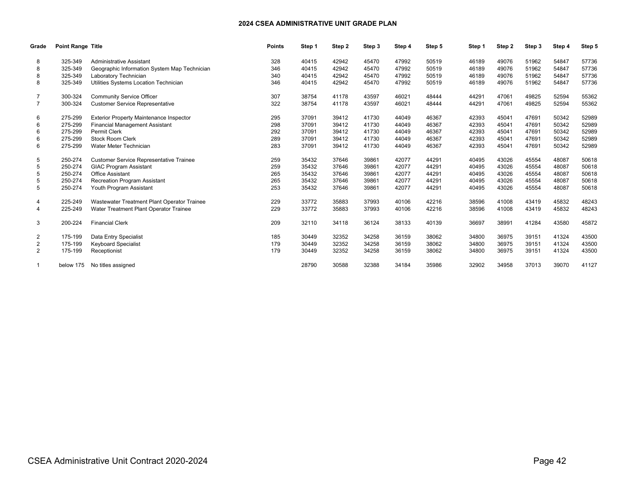| Grade          | <b>Point Range Title</b> |                                                | <b>Points</b> | Step 1 | Step 2 | Step 3 | Step 4 | Step 5 | Step 1 | Step 2 | Step 3 | Step 4 | Step 5 |
|----------------|--------------------------|------------------------------------------------|---------------|--------|--------|--------|--------|--------|--------|--------|--------|--------|--------|
| 8              | 325-349                  | <b>Administrative Assistant</b>                | 328           | 40415  | 42942  | 45470  | 47992  | 50519  | 46189  | 49076  | 51962  | 54847  | 57736  |
|                | 325-349                  | Geographic Information System Map Technician   | 346           | 40415  | 42942  | 45470  | 47992  | 50519  | 46189  | 49076  | 51962  | 54847  | 57736  |
| 8              | 325-349                  | Laboratory Technician                          | 340           | 40415  | 42942  | 45470  | 47992  | 50519  | 46189  | 49076  | 51962  | 54847  | 57736  |
| 8              | 325-349                  | Utilities Systems Location Technician          | 346           | 40415  | 42942  | 45470  | 47992  | 50519  | 46189  | 49076  | 51962  | 54847  | 57736  |
|                | 300-324                  | <b>Community Service Officer</b>               | 307           | 38754  | 41178  | 43597  | 46021  | 48444  | 44291  | 47061  | 49825  | 52594  | 55362  |
| $\overline{7}$ | 300-324                  | <b>Customer Service Representative</b>         | 322           | 38754  | 41178  | 43597  | 46021  | 48444  | 44291  | 47061  | 49825  | 52594  | 55362  |
| 6              | 275-299                  | <b>Exterior Property Maintenance Inspector</b> | 295           | 37091  | 39412  | 41730  | 44049  | 46367  | 42393  | 45041  | 47691  | 50342  | 52989  |
| 6              | 275-299                  | <b>Financial Management Assistant</b>          | 298           | 37091  | 39412  | 41730  | 44049  | 46367  | 42393  | 45041  | 47691  | 50342  | 52989  |
| 6              | 275-299                  | <b>Permit Clerk</b>                            | 292           | 37091  | 39412  | 41730  | 44049  | 46367  | 42393  | 45041  | 47691  | 50342  | 52989  |
| 6              | 275-299                  | <b>Stock Room Clerk</b>                        | 289           | 37091  | 39412  | 41730  | 44049  | 46367  | 42393  | 45041  | 47691  | 50342  | 52989  |
| 6              | 275-299                  | Water Meter Technician                         | 283           | 37091  | 39412  | 41730  | 44049  | 46367  | 42393  | 45041  | 47691  | 50342  | 52989  |
|                | 250-274                  | <b>Customer Service Representative Trainee</b> | 259           | 35432  | 37646  | 39861  | 42077  | 44291  | 40495  | 43026  | 45554  | 48087  | 50618  |
| 5              | 250-274                  | <b>GIAC Program Assistant</b>                  | 259           | 35432  | 37646  | 39861  | 42077  | 44291  | 40495  | 43026  | 45554  | 48087  | 50618  |
| 5              | 250-274                  | <b>Office Assistant</b>                        | 265           | 35432  | 37646  | 39861  | 42077  | 44291  | 40495  | 43026  | 45554  | 48087  | 50618  |
| 5              | 250-274                  | <b>Recreation Program Assistant</b>            | 265           | 35432  | 37646  | 39861  | 42077  | 44291  | 40495  | 43026  | 45554  | 48087  | 50618  |
| 5              | 250-274                  | Youth Program Assistant                        | 253           | 35432  | 37646  | 39861  | 42077  | 44291  | 40495  | 43026  | 45554  | 48087  | 50618  |
| 4              | 225-249                  | Wastewater Treatment Plant Operator Trainee    | 229           | 33772  | 35883  | 37993  | 40106  | 42216  | 38596  | 41008  | 43419  | 45832  | 48243  |
|                | 225-249                  | Water Treatment Plant Operator Trainee         | 229           | 33772  | 35883  | 37993  | 40106  | 42216  | 38596  | 41008  | 43419  | 45832  | 48243  |
| 3              | 200-224                  | <b>Financial Clerk</b>                         | 209           | 32110  | 34118  | 36124  | 38133  | 40139  | 36697  | 38991  | 41284  | 43580  | 45872  |
| 2              | 175-199                  | Data Entry Specialist                          | 185           | 30449  | 32352  | 34258  | 36159  | 38062  | 34800  | 36975  | 39151  | 41324  | 43500  |
| 2              | 175-199                  | <b>Keyboard Specialist</b>                     | 179           | 30449  | 32352  | 34258  | 36159  | 38062  | 34800  | 36975  | 39151  | 41324  | 43500  |
| $\overline{2}$ | 175-199                  | Receptionist                                   | 179           | 30449  | 32352  | 34258  | 36159  | 38062  | 34800  | 36975  | 39151  | 41324  | 43500  |
|                | below 175                | No titles assigned                             |               | 28790  | 30588  | 32388  | 34184  | 35986  | 32902  | 34958  | 37013  | 39070  | 41127  |